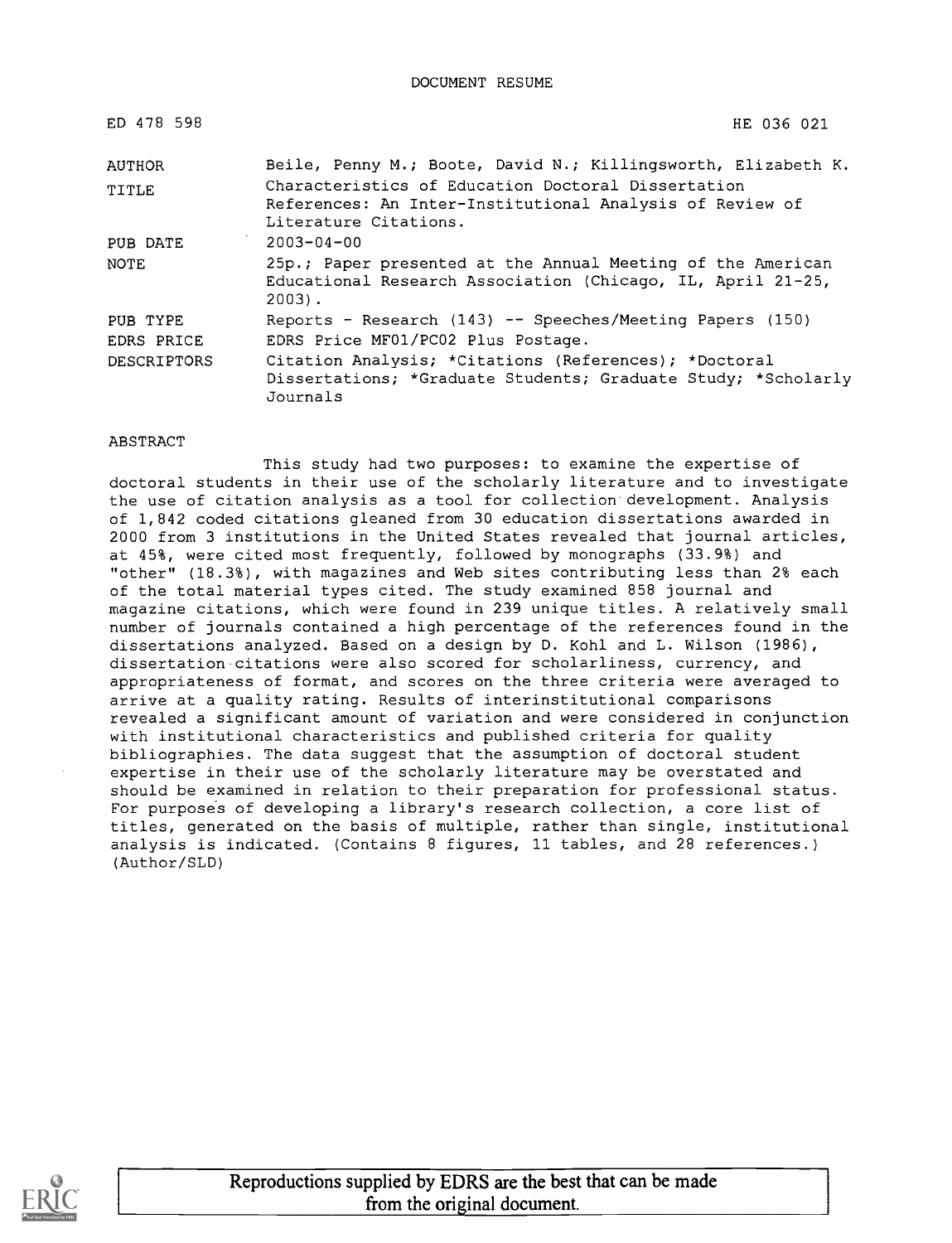DOCUMENT RESUME

| ED 478 598  | HE 036 021                                                                                                                             |
|-------------|----------------------------------------------------------------------------------------------------------------------------------------|
| AUTHOR      | Beile, Penny M.; Boote, David N.; Killingsworth, Elizabeth K.                                                                          |
| TITLE       | Characteristics of Education Doctoral Dissertation                                                                                     |
|             | References: An Inter-Institutional Analysis of Review of<br>Literature Citations.                                                      |
| PUB DATE    | $2003 - 04 - 00$                                                                                                                       |
| NOTE        | 25p.; Paper presented at the Annual Meeting of the American<br>Educational Research Association (Chicago, IL, April 21-25,<br>$2003$ . |
| PUB TYPE    | Reports - Research (143) -- Speeches/Meeting Papers (150)                                                                              |
| EDRS PRICE  | EDRS Price MF01/PC02 Plus Postage.                                                                                                     |
| DESCRIPTORS | Citation Analysis; *Citations (References); *Doctoral<br>Dissertations; *Graduate Students; Graduate Study; *Scholarly<br>Journals     |

#### **ABSTRACT**

This study had two purposes: to examine the expertise of doctoral students in their use of the scholarly literature and to investigate the use of citation analysis as a tool for collection development. Analysis of 1,842 coded citations gleaned from 30 education dissertations awarded in 2000 from 3 institutions in the United States revealed that journal articles, at 45%, were cited most frequently, followed by monographs (33.9%) and "other" (18.3%), with magazines and Web sites contributing less than 2% each of the total material types cited. The study examined 858 journal and magazine citations, which were found in 239 unique titles. A relatively small number of journals contained a high percentage of the references found in the dissertations analyzed. Based on a design by D. Kohl and L. Wilson (1986), dissertation citations were also scored for scholarliness, currency, and appropriateness of format, and scores on the three criteria were averaged to arrive at a quality rating. Results of interinstitutional comparisons revealed a significant amount of variation and were considered in conjunction with institutional characteristics and published criteria for quality bibliographies. The data suggest that the assumption of doctoral student expertise in their use of the scholarly literature may be overstated and should be examined in relation to their preparation for professional status. For purposes of developing a library's research collection, a core list of titles, generated on the basis of multiple, rather than single, institutional analysis is indicated. (Contains 8 figures, 11 tables, and 28 references.) (Author/SLD)

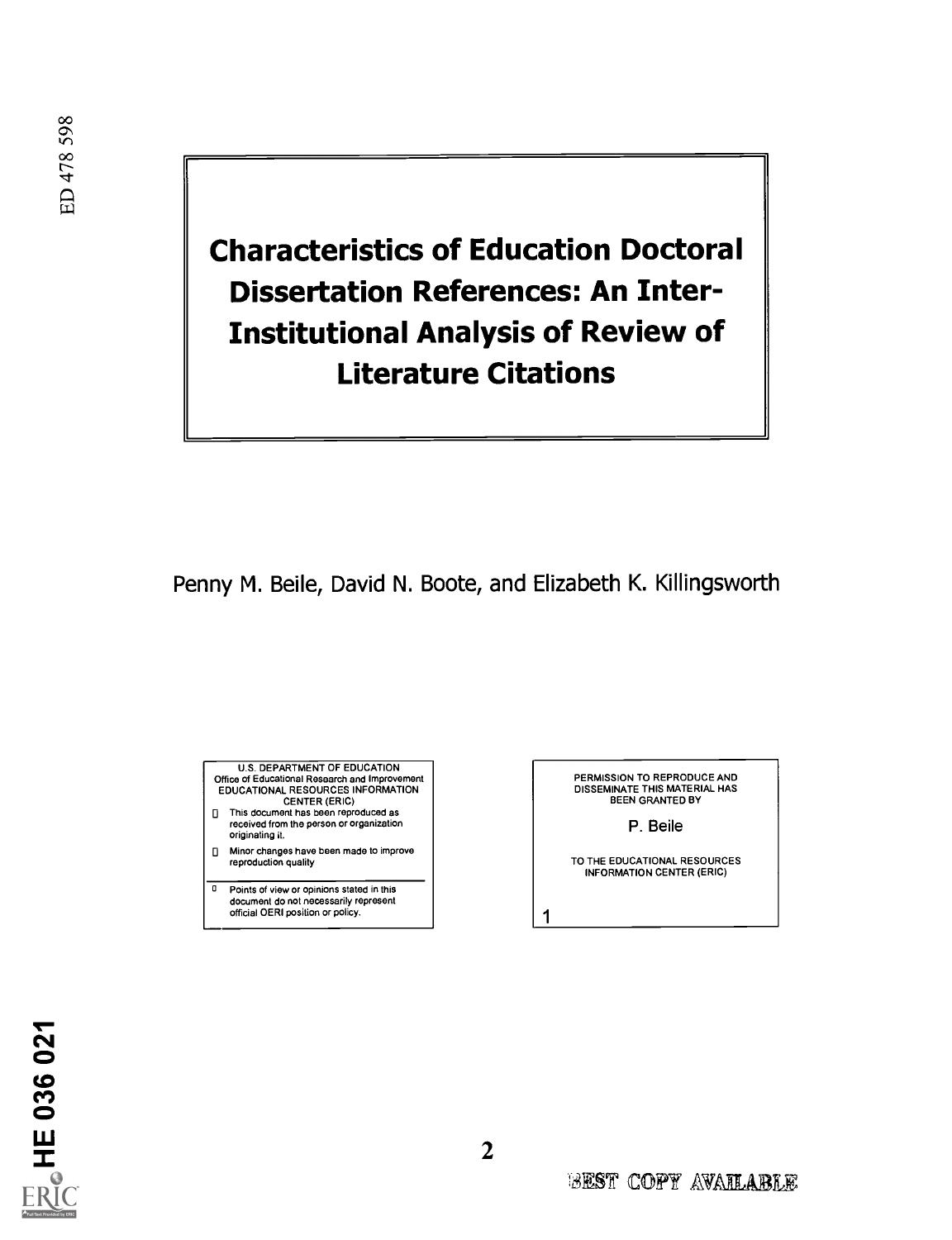Characteristics of Education Doctoral Dissertation References: An Inter-Institutional Analysis of Review of Literature Citations

# Penny M. Beile, David N. Boote, and Elizabeth K. Killingsworth



- originating it. O Minor changes have been made to improve reproduction quality
- **Q** Points of view or opinions stated in this document do not necessarily represent official OERI position or policy.

PERMISSION TO REPRODUCE AND DISSEMINATE THIS MATERIAL HAS BEEN GRANTED BY

P. Beile

TO THE EDUCATIONAL RESOURCES INFORMATION CENTER (ERIC)



1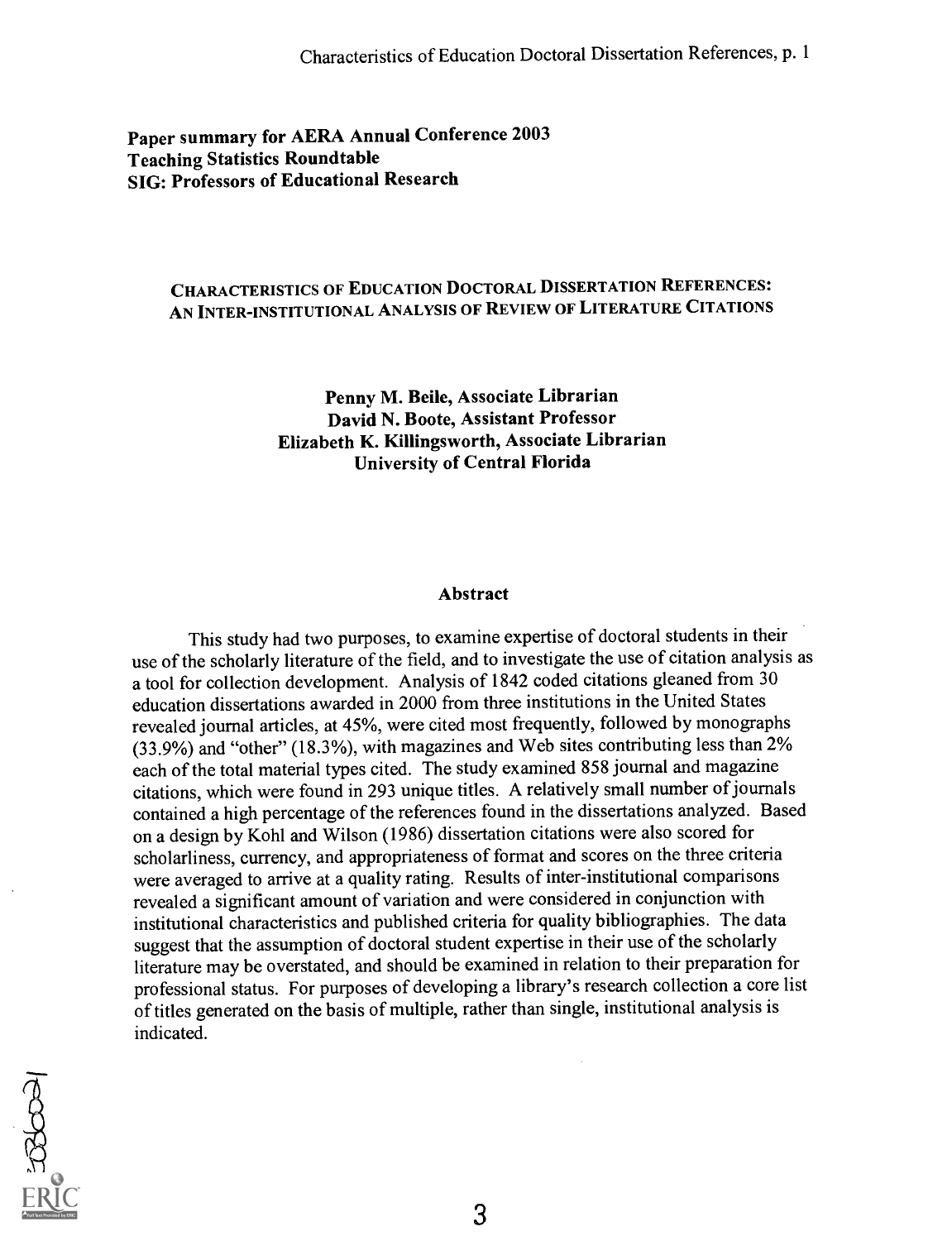# Paper summary for AERA Annual Conference 2003 Teaching Statistics Roundtable SIG: Professors of Educational Research

# CHARACTERISTICS OF EDUCATION DOCTORAL DISSERTATION REFERENCES: AN INTER-INSTITUTIONAL ANALYSIS OF REVIEW OF LITERATURE CITATIONS

Penny M. Beile, Associate Librarian David N. Boote, Assistant Professor Elizabeth K. Killingsworth, Associate Librarian University of Central Florida

### Abstract

This study had two purposes, to examine expertise of doctoral students in their use of the scholarly literature of the field, and to investigate the use of citation analysis as a tool for collection development. Analysis of 1842 coded citations gleaned from 30 education dissertations awarded in 2000 from three institutions in the United States revealed journal articles, at 45%, were cited most frequently, followed by monographs (33.9%) and "other" (18.3%), with magazines and Web sites contributing less than 2% each of the total material types cited. The study examined 858 journal and magazine citations, which were found in 293 unique titles. A relatively small number of journals contained a high percentage of the references found in the dissertations analyzed. Based on a design by Kohl and Wilson (1986) dissertation citations were also scored for scholarliness, currency, and appropriateness of format and scores on the three criteria were averaged to arrive at a quality rating. Results of inter-institutional comparisons revealed a significant amount of variation and were considered in conjunction with institutional characteristics and published criteria for quality bibliographies. The data suggest that the assumption of doctoral student expertise in their use of the scholarly literature may be overstated, and should be examined in relation to their preparation for professional status. For purposes of developing a library's research collection a core list of titles generated on the basis of multiple, rather than single, institutional analysis is indicated.



3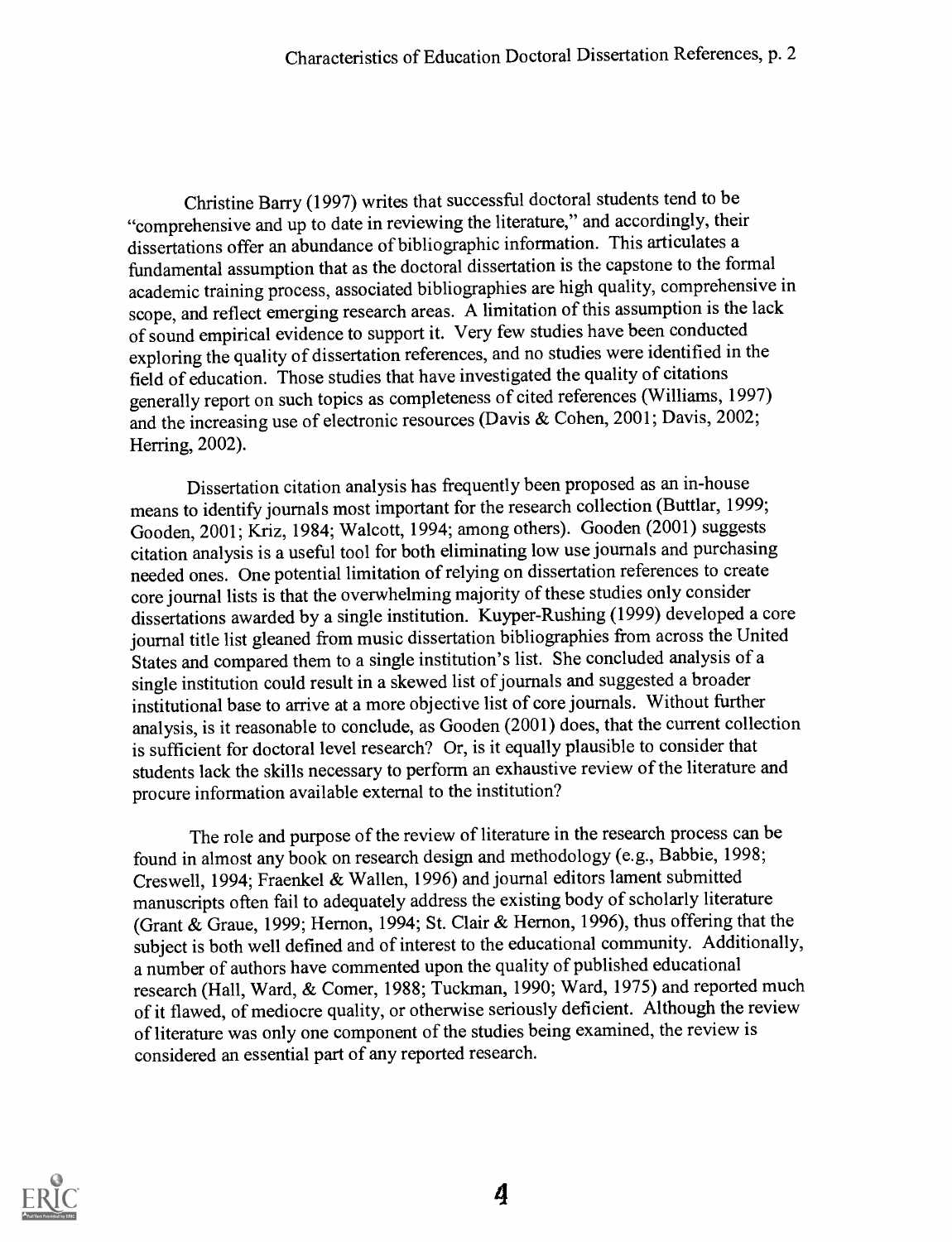Christine Barry (1997) writes that successful doctoral students tend to be "comprehensive and up to date in reviewing the literature," and accordingly, their dissertations offer an abundance of bibliographic information. This articulates a fundamental assumption that as the doctoral dissertation is the capstone to the formal academic training process, associated bibliographies are high quality, comprehensive in scope, and reflect emerging research areas. A limitation of this assumption is the lack of sound empirical evidence to support it. Very few studies have been conducted exploring the quality of dissertation references, and no studies were identified in the field of education. Those studies that have investigated the quality of citations generally report on such topics as completeness of cited references (Williams, 1997) and the increasing use of electronic resources (Davis & Cohen, 2001; Davis, 2002; Herring, 2002).

Dissertation citation analysis has frequently been proposed as an in-house means to identify journals most important for the research collection (Buttlar, 1999; Gooden, 2001; Kriz, 1984; Walcott, 1994; among others). Gooden (2001) suggests citation analysis is a useful tool for both eliminating low use journals and purchasing needed ones. One potential limitation of relying on dissertation references to create core journal lists is that the overwhelming majority of these studies only consider dissertations awarded by a single institution. Kuyper-Rushing (1999) developed a core journal title list gleaned from music dissertation bibliographies from across the United States and compared them to a single institution's list. She concluded analysis of a single institution could result in a skewed list of journals and suggested a broader institutional base to arrive at a more objective list of core journals. Without further analysis, is it reasonable to conclude, as Gooden (2001) does, that the current collection is sufficient for doctoral level research? Or, is it equally plausible to consider that students lack the skills necessary to perform an exhaustive review of the literature and procure information available external to the institution?

The role and purpose of the review of literature in the research process can be found in almost any book on research design and methodology (e.g., Babbie, 1998; Creswell, 1994; Fraenkel & Wallen, 1996) and journal editors lament submitted manuscripts often fail to adequately address the existing body of scholarly literature (Grant & Graue, 1999; Hernon, 1994; St. Clair & Hernon, 1996), thus offering that the subject is both well defined and of interest to the educational community. Additionally, a number of authors have commented upon the quality of published educational research (Hall, Ward, & Comer, 1988; Tuckman, 1990; Ward, 1975) and reported much of it flawed, of mediocre quality, or otherwise seriously deficient. Although the review of literature was only one component of the studies being examined, the reviewis considered an essential part of any reported research.

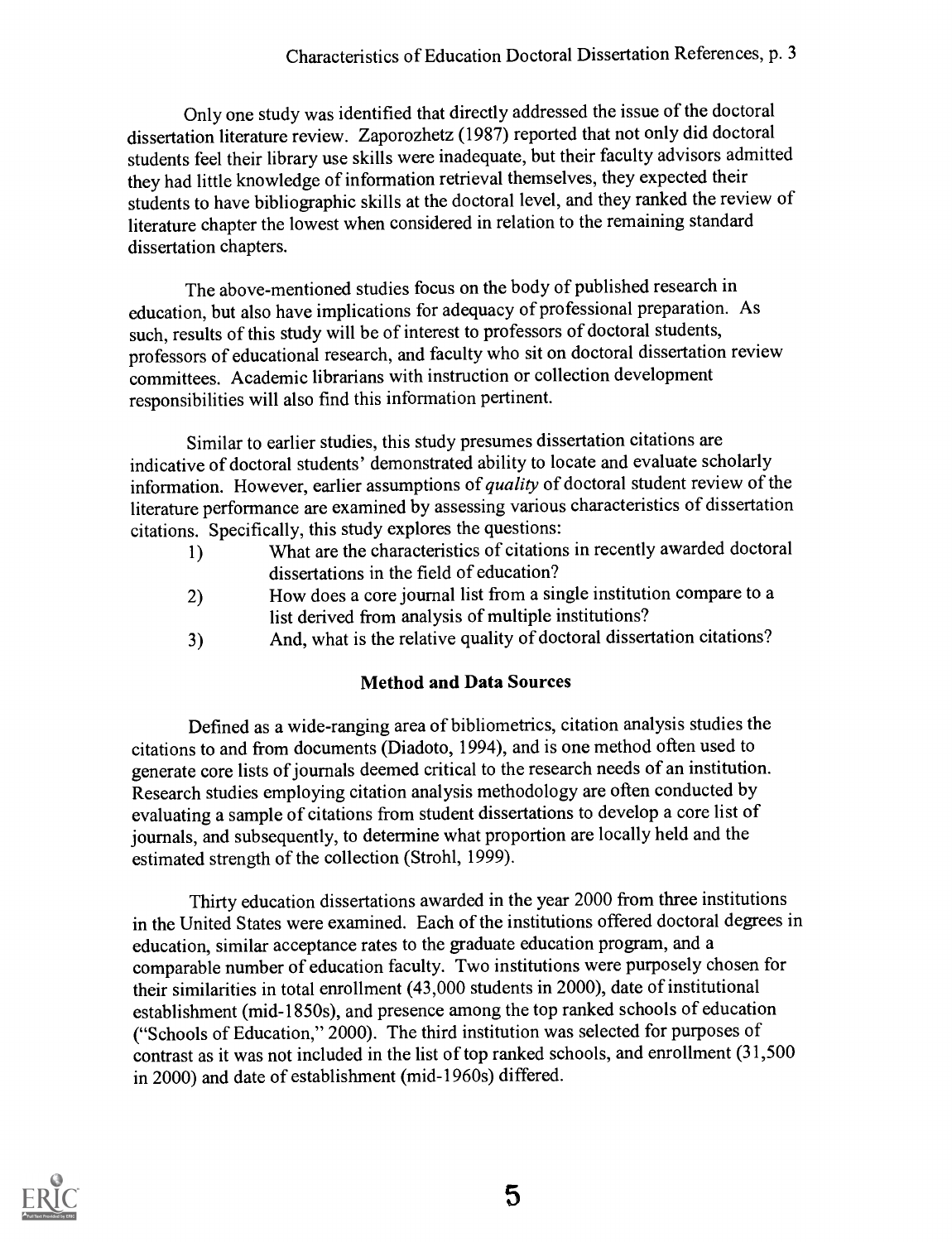Only one study was identified that directly addressed the issue of the doctoral dissertation literature review. Zaporozhetz (1987) reported that not only did doctoral students feel their library use skills were inadequate, but their faculty advisors admitted they had little knowledge of information retrieval themselves, they expected their students to have bibliographic skills at the doctoral level, and they ranked the review of literature chapter the lowest when considered in relation to the remaining standard dissertation chapters.

The above-mentioned studies focus on the body of published research in education, but also have implications for adequacy of professional preparation. As such, results of this study will be of interest to professors of doctoral students, professors of educational research, and faculty who sit on doctoral dissertation review committees. Academic librarians with instruction or collection development responsibilities will also find this information pertinent.

Similar to earlier studies, this study presumes dissertation citations are indicative of doctoral students' demonstrated ability to locate and evaluate scholarly information. However, earlier assumptions of quality of doctoral student review of the literature performance are examined by assessing various characteristics of dissertation citations. Specifically, this study explores the questions:

- 1) What are the characteristics of citations in recently awarded doctoral dissertations in the field of education?
- 2) How does a core journal list from a single institution compare to a list derived from analysis of multiple institutions?
- 3) And, what is the relative quality of doctoral dissertation citations?

# Method and Data Sources

Defined as a wide-ranging area of bibliometrics, citation analysis studies the citations to and from documents (Diadoto, 1994), and is one method often used to generate core lists of journals deemed critical to the research needs of an institution. Research studies employing citation analysis methodology are often conducted by evaluating a sample of citations from student dissertations to develop a core list of journals, and subsequently, to determine what proportion are locally held and the estimated strength of the collection (Strohl, 1999).

Thirty education dissertations awarded in the year 2000 from three institutions in the United States were examined. Each of the institutions offered doctoral degrees in education, similar acceptance rates to the graduate education program, and a comparable number of education faculty. Two institutions were purposely chosen for their similarities in total enrollment (43,000 students in 2000), date of institutional establishment (mid-1850s), and presence among the top ranked schools of education ("Schools of Education," 2000). The third institution was selected for purposes of contrast as it was not included in the list of top ranked schools, and enrollment (31,500 in 2000) and date of establishment (mid-1960s) differed.

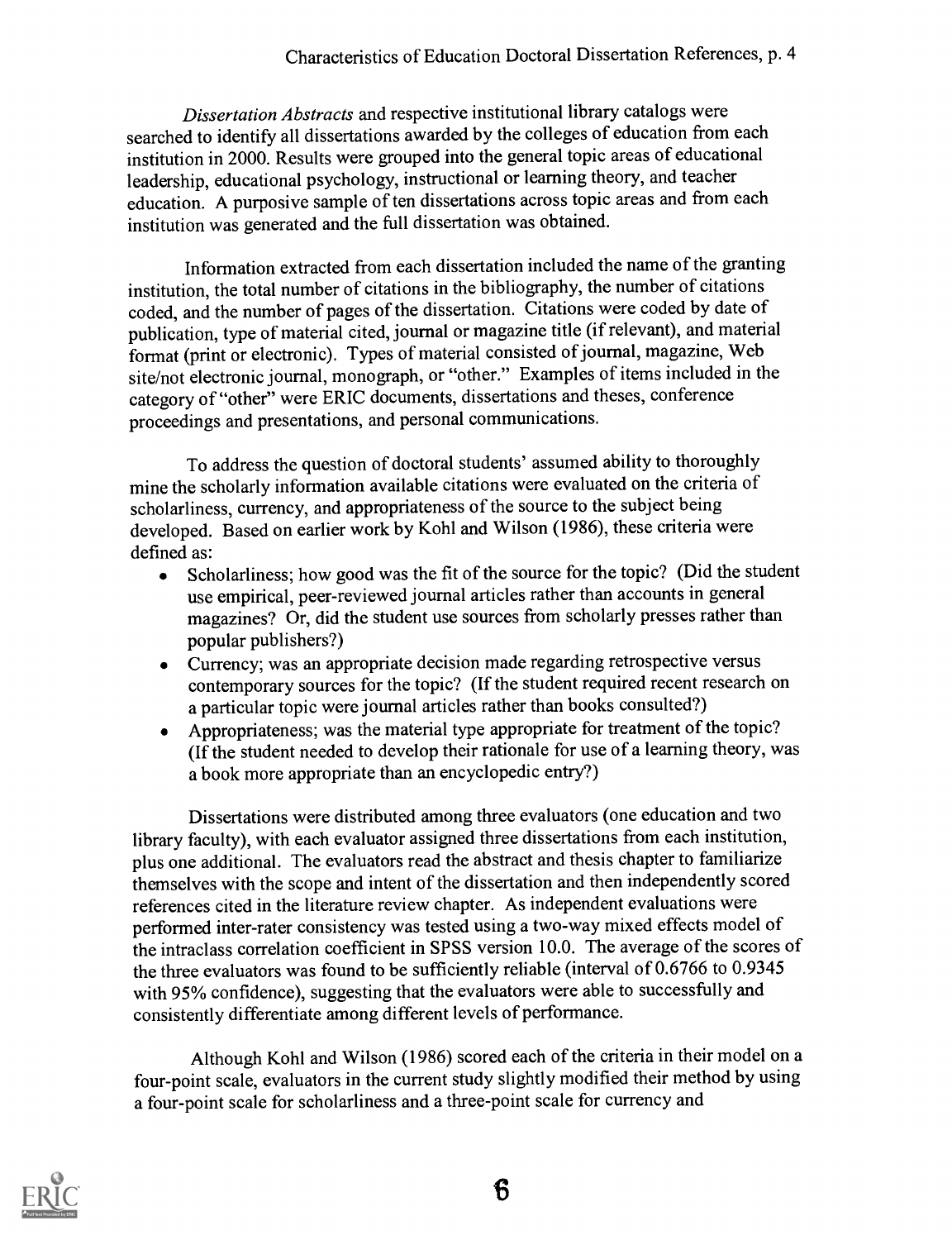Dissertation Abstracts and respective institutional library catalogs were searched to identify all dissertations awarded by the colleges of education from each institution in 2000. Results were grouped into the general topic areas of educational leadership, educational psychology, instructional or learning theory, and teacher education. A purposive sample of ten dissertations across topic areas and from each institution was generated and the full dissertation was obtained.

Information extracted from each dissertation included the name of the granting institution, the total number of citations in the bibliography, the number of citations coded, and the number of pages of the dissertation. Citations were coded by date of publication, type of material cited, journal or magazine title (if relevant), and material format (print or electronic). Types of material consisted of journal, magazine, Web site/not electronic journal, monograph, or "other." Examples of items included in the category of "other" were ERIC documents, dissertations and theses, conference proceedings and presentations, and personal communications.

To address the question of doctoral students' assumed ability to thoroughly mine the scholarly information available citations were evaluated on the criteria of scholarliness, currency, and appropriateness of the source to the subject being developed. Based on earlier work by Kohl and Wilson (1986), these criteria were defined as:

- Scholarliness; how good was the fit of the source for the topic? (Did the student  $\bullet$ use empirical, peer-reviewed journal articles rather than accounts in general magazines? Or, did the student use sources from scholarly presses rather than popular publishers?)
- Currency; was an appropriate decision made regarding retrospective versus  $\bullet$ contemporary sources for the topic? (If the student required recent research on a particular topic were journal articles rather than books consulted?)
- Appropriateness; was the material type appropriate for treatment of the topic? (If the student needed to develop their rationale for use of a learning theory, was a book more appropriate than an encyclopedic entry?)

Dissertations were distributed among three evaluators (one education and two library faculty), with each evaluator assigned three dissertations from each institution, plus one additional. The evaluators read the abstract and thesis chapter to familiarize themselves with the scope and intent of the dissertation and then independently scored references cited in the literature review chapter. As independent evaluations were performed inter-rater consistency was tested using a two-way mixed effects model of the intraclass correlation coefficient in SPSS version 10.0. The average of the scores of the three evaluators was found to be sufficiently reliable (interval of 0.6766 to 0.9345 with 95% confidence), suggesting that the evaluators were able to successfully and consistently differentiate among different levels of performance.

Although Kohl and Wilson (1986) scored each of the criteria in their model on a four-point scale, evaluators in the current study slightly modified their method by using a four-point scale for scholarliness and a three-point scale for currency and



6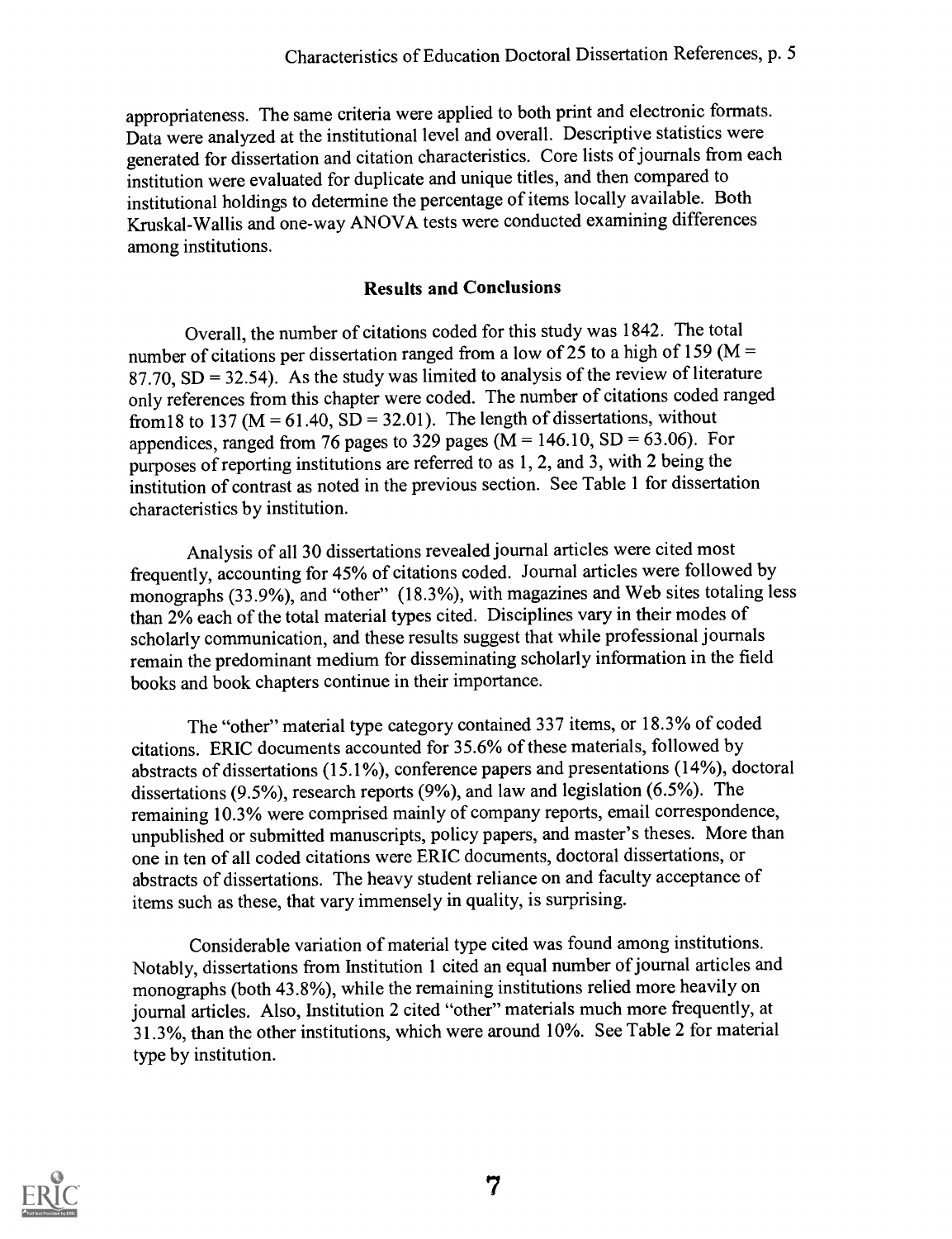appropriateness. The same criteria were applied to both print and electronic formats. Data were analyzed at the institutional level and overall. Descriptive statistics were generated for dissertation and citation characteristics. Core lists of journals from each institution were evaluated for duplicate and unique titles, and then compared to institutional holdings to determine the percentage of items locally available. Both Kruskal-Wallis and one-way ANOVA tests were conducted examining differences among institutions.

# Results and Conclusions

Overall, the number of citations coded for this study was 1842. The total number of citations per dissertation ranged from a low of  $25$  to a high of 159 (M = 87.70,  $SD = 32.54$ ). As the study was limited to analysis of the review of literature only references from this chapter were coded. The number of citations coded ranged from 18 to 137 ( $M = 61.40$ ,  $SD = 32.01$ ). The length of dissertations, without appendices, ranged from 76 pages to 329 pages ( $M = 146.10$ , SD = 63.06). For purposes of reporting institutions are referred to as 1, 2, and 3, with 2 being the institution of contrast as noted in the previous section. See Table 1 for dissertation characteristics by institution.

Analysis of all 30 dissertations revealed journal articles were cited most frequently, accounting for 45% of citations coded. Journal articles were followed by monographs (33.9%), and "other" (18.3%), with magazines and Web sites totaling less than 2% each of the total material types cited. Disciplines vary in their modes of scholarly communication, and these results suggest that while professional journals remain the predominant medium for disseminating scholarly information in the field books and book chapters continue in their importance.

The "other" material type category contained 337 items, or 18.3% of coded citations. ERIC documents accounted for 35.6% of these materials, followed by abstracts of dissertations (15.1%), conference papers and presentations (14%), doctoral dissertations (9.5%), research reports (9%), and law and legislation (6.5%). The remaining 10.3% were comprised mainly of company reports, email correspondence, unpublished or submitted manuscripts, policy papers, and master's theses. More than one in ten of all coded citations were ERIC documents, doctoral dissertations, or abstracts of dissertations. The heavy student reliance on and faculty acceptance of items such as these, that vary immensely in quality, is surprising.

Considerable variation of material type cited was found among institutions. Notably, dissertations from Institution 1 cited an equal number of journal articles and monographs (both 43.8%), while the remaining institutions relied more heavily on journal articles. Also, Institution 2 cited "other" materials much more frequently, at 31.3%, than the other institutions, which were around 10%. See Table 2 for material type by institution.

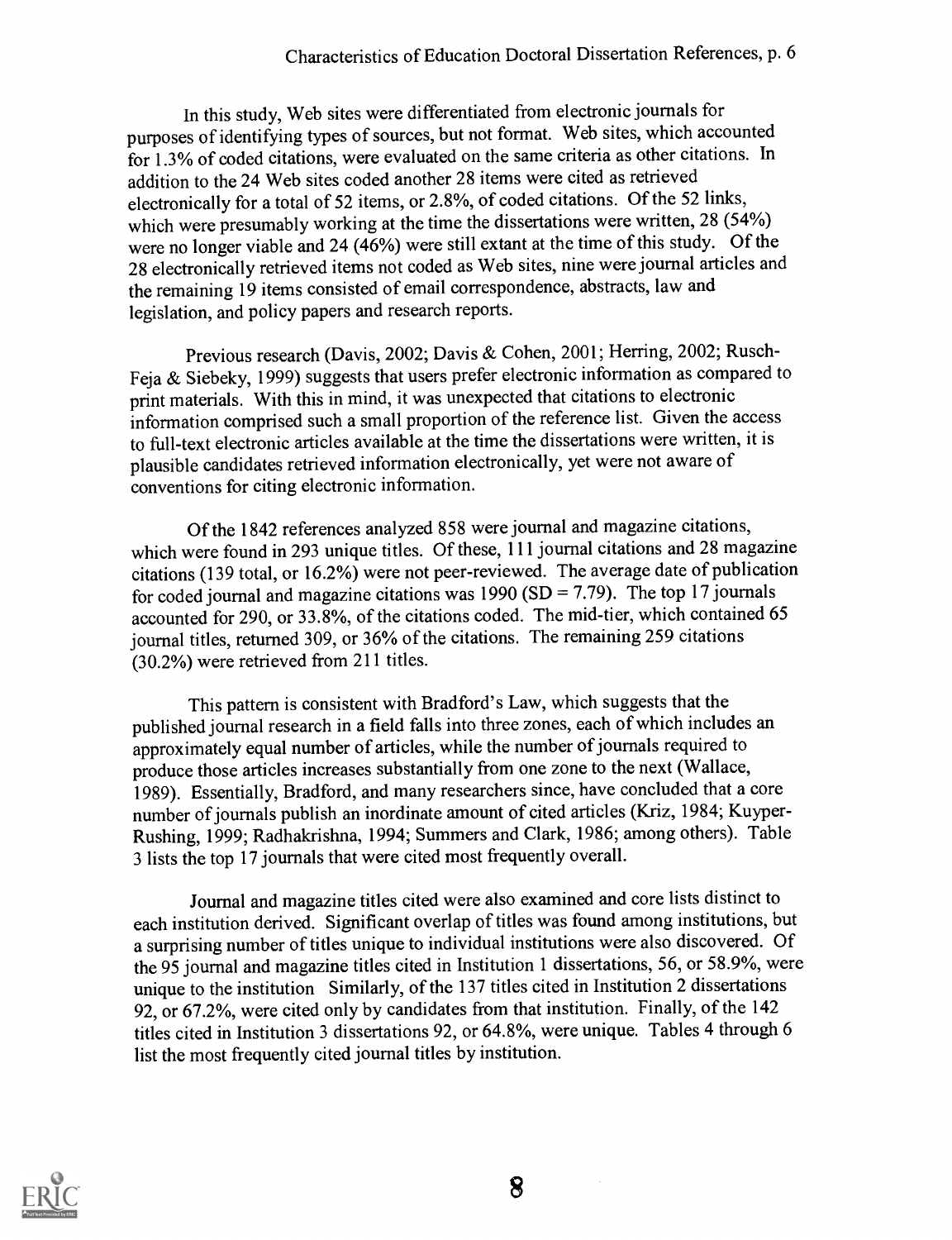In this study, Web sites were differentiated from electronic journals for purposes of identifying types of sources, but not format. Web sites, which accounted for 1.3% of coded citations, were evaluated on the same criteria as other citations. In addition to the 24 Web sites coded another 28 items were cited as retrieved electronically for a total of 52 items, or 2.8%, of coded citations. Of the 52 links, which were presumably working at the time the dissertations were written, 28 (54%) were no longer viable and 24 (46%) were still extant at the time of this study. Of the 28 electronically retrieved items not coded as Web sites, nine were journal articles and the remaining 19 items consisted of email correspondence, abstracts, law and legislation, and policy papers and research reports.

Previous research (Davis, 2002; Davis & Cohen, 2001; Herring, 2002; Rusch-Feja & Siebeky, 1999) suggests that users prefer electronic information as compared to print materials. With this in mind, it was unexpected that citations to electronic information comprised such a small proportion of the reference list. Given the access to full-text electronic articles available at the time the dissertations were written, it is plausible candidates retrieved information electronically, yet were not aware of conventions for citing electronic information.

Of the 1842 references analyzed 858 were journal and magazine citations, which were found in 293 unique titles. Of these, 111 journal citations and 28 magazine citations (139 total, or 16.2%) were not peer-reviewed. The average date of publication for coded journal and magazine citations was  $1990 (SD = 7.79)$ . The top 17 journals accounted for 290, or 33.8%, of the citations coded. The mid-tier, which contained 65 journal titles, returned 309, or 36% of the citations. The remaining 259 citations (30.2%) were retrieved from 211 titles.

This pattern is consistent with Bradford's Law, which suggests that the published journal research in a field falls into three zones, each of which includes an approximately equal number of articles, while the number of journals required to produce those articles increases substantially from one zone to the next (Wallace, 1989). Essentially, Bradford, and many researchers since, have concluded that a core number of journals publish an inordinate amount of cited articles (Kriz, 1984; Kuyper-Rushing, 1999; Radhakrishna, 1994; Summers and Clark, 1986; among others). Table 3 lists the top 17 journals that were cited most frequently overall.

Journal and magazine titles cited were also examined and core lists distinct to each institution derived. Significant overlap of titles was found among institutions, but a surprising number of titles unique to individual institutions were also discovered. Of the 95 journal and magazine titles cited in Institution 1 dissertations, 56, or 58.9%, were unique to the institution Similarly, of the 137 titles cited in Institution 2 dissertations 92, or 67.2%, were cited only by candidates from that institution. Finally, of the 142 titles cited in Institution 3 dissertations 92, or 64.8%, were unique. Tables 4 through 6 list the most frequently cited journal titles by institution.

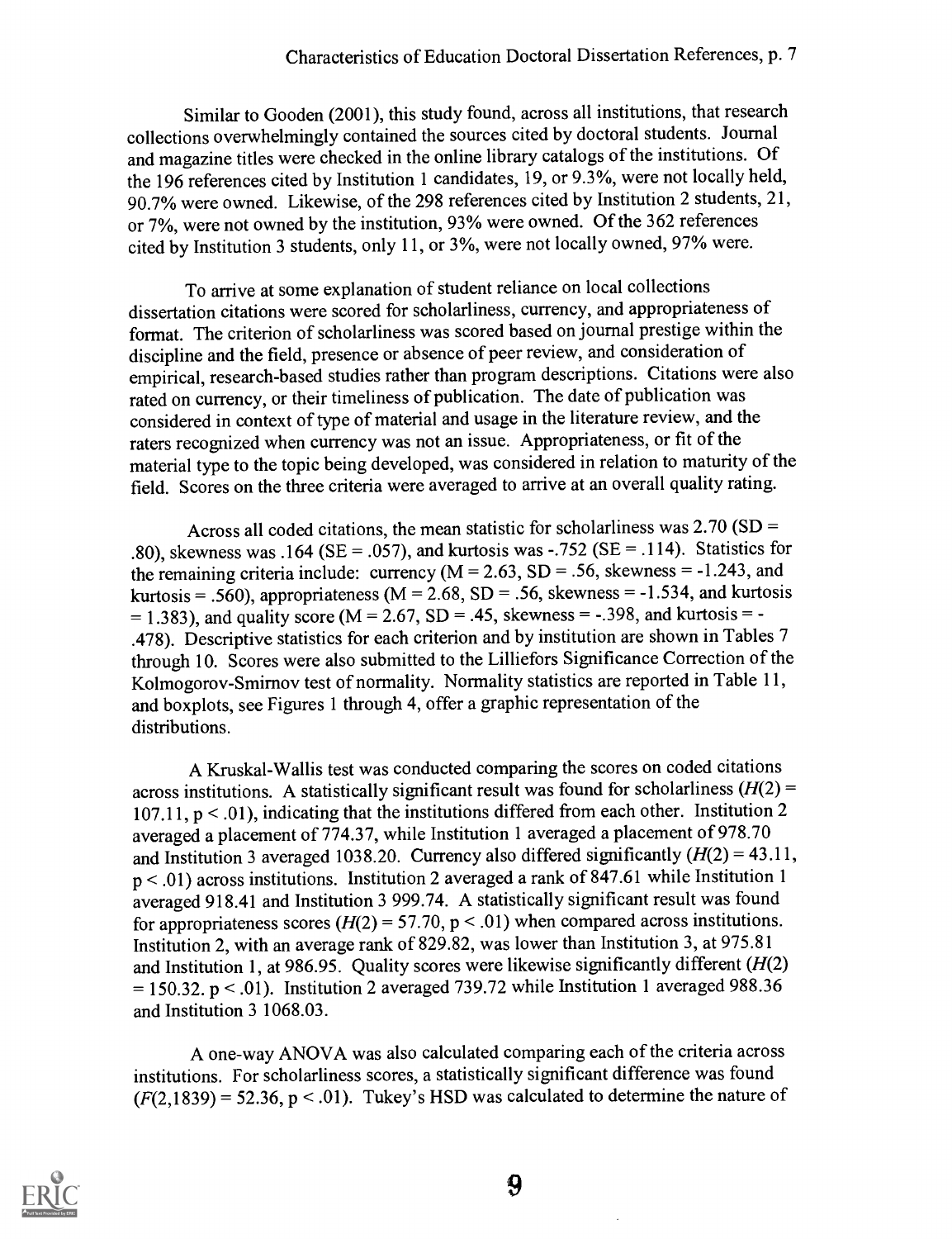Similar to Gooden (2001), this study found, across all institutions, that research collections overwhelmingly contained the sources cited by doctoral students. Journal and magazine titles were checked in the online library catalogs of the institutions. Of the 196 references cited by Institution 1 candidates, 19, or 9.3%, were not locally held, 90.7% were owned. Likewise, of the 298 references cited by Institution 2 students, 21, or 7%, were not owned by the institution, 93% were owned. Of the 362 references cited by Institution 3 students, only 11, or 3%, were not locally owned, 97% were.

To arrive at some explanation of student reliance on local collections dissertation citations were scored for scholarliness, currency, and appropriateness of format. The criterion of scholarliness was scored based on journal prestige within the discipline and the field, presence or absence of peer review, and consideration of empirical, research-based studies rather than program descriptions. Citations were also rated on currency, or their timeliness of publication. The date of publication was considered in context of type of material and usage in the literature review, and the raters recognized when currency was not an issue. Appropriateness, or fit of the material type to the topic being developed, was considered in relation to maturityof the field. Scores on the three criteria were averaged to arrive at an overall quality rating.

Across all coded citations, the mean statistic for scholarliness was  $2.70$  (SD = .80), skewness was .164 (SE = .057), and kurtosis was -.752 (SE = .114). Statistics for the remaining criteria include: currency  $(M = 2.63, SD = .56$ , skewness = -1.243, and kurtosis = .560), appropriateness ( $M = 2.68$ , SD = .56, skewness = -1.534, and kurtosis  $= 1.383$ ), and quality score (M = 2.67, SD = .45, skewness = -.398, and kurtosis = -.478). Descriptive statistics for each criterion and by institution are shown in Tables 7 through 10. Scores were also submitted to the Lilliefors Significance Correction of the Kolmogorov-Smirnov test of normality. Normality statistics are reported in Table 11, and boxplots, see Figures 1 through 4, offer a graphic representation of the distributions.

A Kruskal-Wallis test was conducted comparing the scores on coded citations across institutions. A statistically significant result was found for scholarliness  $(H(2) =$ 107.11,  $p < .01$ ), indicating that the institutions differed from each other. Institution 2 averaged a placement of 774.37, while Institution 1 averaged a placement of 978.70 and Institution 3 averaged 1038.20. Currency also differed significantly  $(H(2) = 43.11,$ p < .01) across institutions. Institution 2 averaged a rank of 847.61 while Institution 1 averaged 918.41 and Institution 3 999.74. A statistically significant result was found for appropriateness scores ( $H(2) = 57.70$ , p < .01) when compared across institutions. Institution 2, with an average rank of 829.82, was lower than Institution 3, at 975.81 and Institution 1, at 986.95. Quality scores were likewise significantly different  $(H(2))$  $= 150.32$ . p < .01). Institution 2 averaged 739.72 while Institution 1 averaged 988.36 and Institution 3 1068.03.

A one-way ANOVA was also calculated comparing each of the criteria across institutions. For scholarliness scores, a statistically significant difference was found  $(F(2,1839) = 52.36, p < .01)$ . Tukey's HSD was calculated to determine the nature of

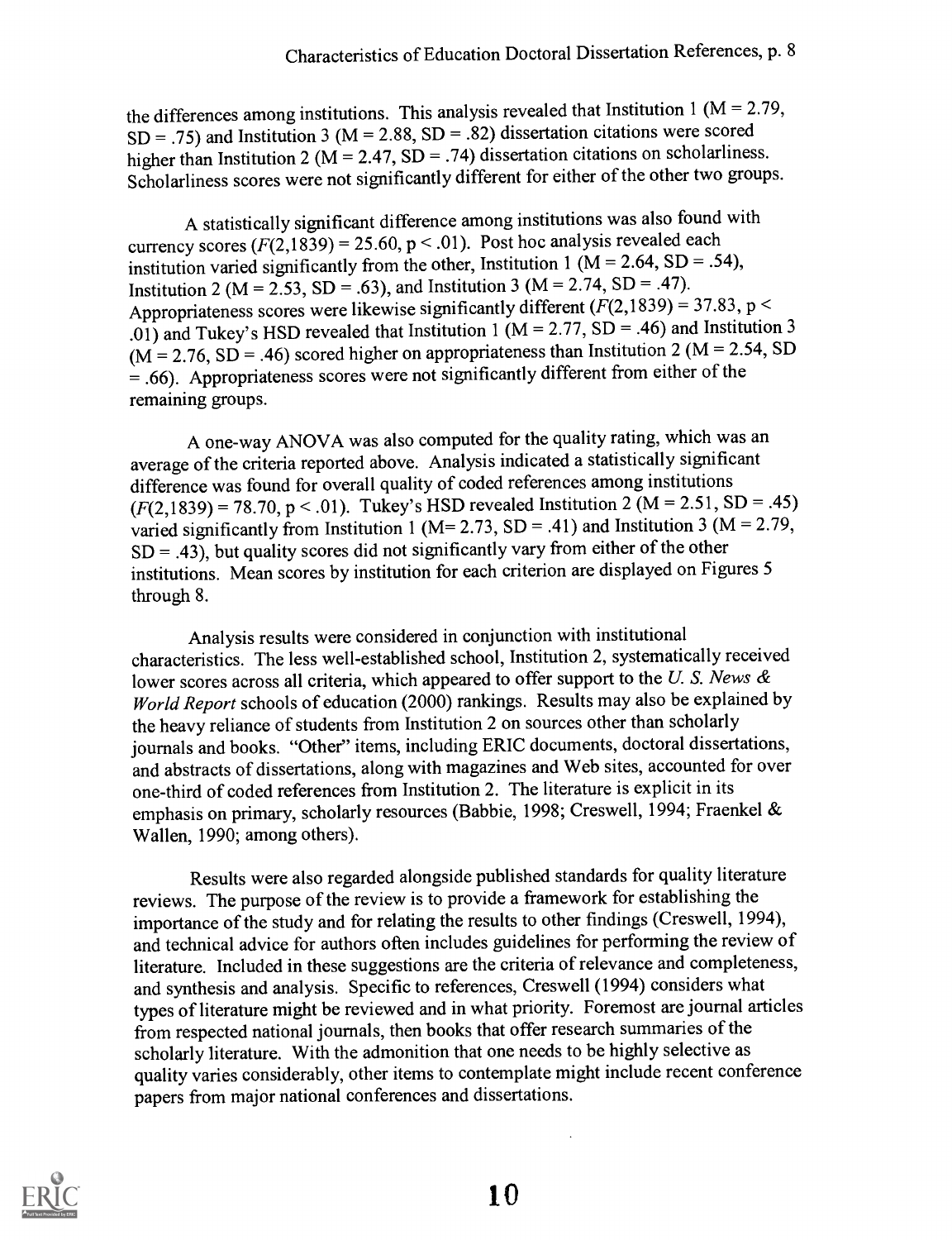the differences among institutions. This analysis revealed that Institution 1 ( $M = 2.79$ ,  $SD = .75$ ) and Institution 3 (M = 2.88, SD = .82) dissertation citations were scored higher than Institution 2 ( $\overrightarrow{M}$  = 2.47,  $\overrightarrow{SD}$  = .74) dissertation citations on scholarliness. Scholarliness scores were not significantly different for either of the other two groups.

A statistically significant difference among institutions was also found with currency scores  $(F(2, 1839) = 25.60, p < .01)$ . Post hoc analysis revealed each institution varied significantly from the other, Institution 1 ( $M = 2.64$ , SD = .54), Institution 2 (M = 2.53, SD = .63), and Institution 3 (M = 2.74, SD = .47). Appropriateness scores were likewise significantly different  $(F(2,1839) = 37.83, p <$ .01) and Tukey's HSD revealed that Institution 1 ( $M = 2.77$ ,  $SD = .46$ ) and Institution 3  $(M = 2.76, SD = .46)$  scored higher on appropriateness than Institution 2 (M = 2.54, SD)  $= .66$ ). Appropriateness scores were not significantly different from either of the remaining groups.

A one-way ANOVA was also computed for the quality rating, which was an average of the criteria reported above. Analysis indicated a statistically significant difference was found for overall quality of coded references among institutions  $(F(2,1839) = 78.70, p < .01)$ . Tukey's HSD revealed Institution 2 (M = 2.51, SD = .45) varied significantly from Institution 1 (M= 2.73, SD = .41) and Institution 3 (M = 2.79,  $SD = .43$ , but quality scores did not significantly vary from either of the other institutions. Mean scores by institution for each criterion are displayed on Figures 5 through 8.

Analysis results were considered in conjunction with institutional characteristics. The less well-established school, Institution 2, systematicallyreceived lower scores across all criteria, which appeared to offer support to the U. S. News  $\&$ World Report schools of education (2000) rankings. Results may also be explained by the heavy reliance of students from Institution 2 on sources other than scholarly journals and books. "Other" items, including ERIC documents, doctoral dissertations, and abstracts of dissertations, along with magazines and Web sites, accounted for over one-third of coded references from Institution 2. The literature is explicit in its emphasis on primary, scholarly resources (Babbie, 1998; Creswell, 1994; Fraenkel & Wallen, 1990; among others).

Results were also regarded alongside published standards for quality literature reviews. The purpose of the review is to provide a framework for establishing the importance of the study and for relating the results to other findings (Creswell, 1994), and technical advice for authors often includes guidelines for performing the review of literature. Included in these suggestions are the criteria of relevance and completeness, and synthesis and analysis. Specific to references, Creswell (1994) considers what types of literature might be reviewed and in what priority. Foremost arejournal articles from respected national journals, then books that offer research summaries of the scholarly literature. With the admonition that one needs to be highly selective as quality varies considerably, other items to contemplate might include recent conference papers from major national conferences and dissertations.

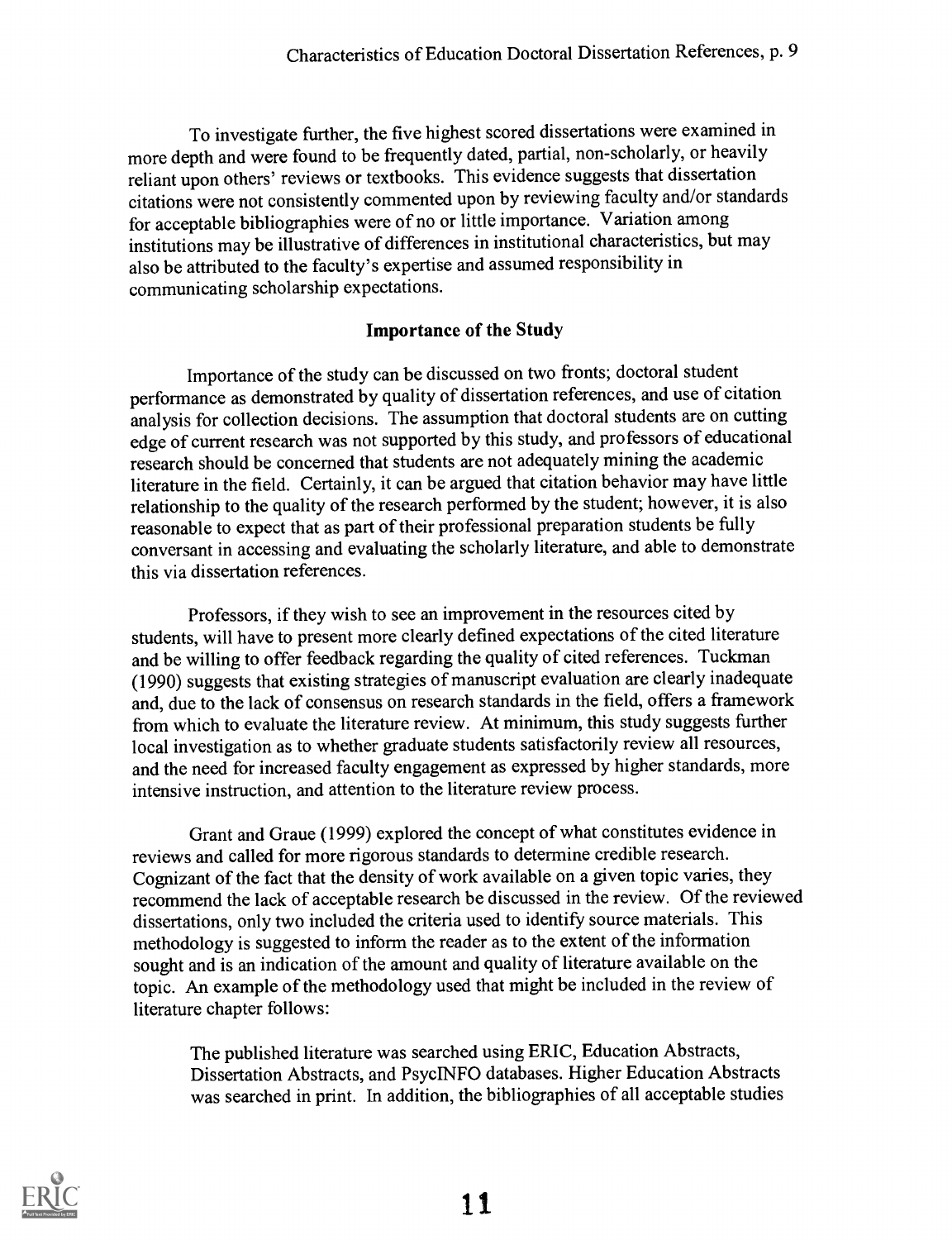To investigate further, the five highest scored dissertations were examined in more depth and were found to be frequently dated, partial, non-scholarly, or heavily reliant upon others' reviews or textbooks. This evidence suggests that dissertation citations were not consistently commented upon by reviewing faculty and/or standards for acceptable bibliographies were of no or little importance. Variation among institutions may be illustrative of differences in institutional characteristics, but may also be attributed to the faculty's expertise and assumed responsibility in communicating scholarship expectations.

# Importance of the Study

Importance of the study can be discussed on two fronts; doctoral student performance as demonstrated by quality of dissertation references, and use of citation analysis for collection decisions. The assumption that doctoral students are on cutting edge of current research was not supported by this study, and professors of educational research should be concerned that students are not adequately mining the academic literature in the field. Certainly, it can be argued that citation behavior may have little relationship to the quality of the research performed by the student; however, it is also reasonable to expect that as part of their professional preparation students be fully conversant in accessing and evaluating the scholarly literature, and able to demonstrate this via dissertation references.

Professors, if they wish to see an improvement in the resources cited by students, will have to present more clearly defined expectations of the cited literature and be willing to offer feedback regarding the quality of cited references. Tuckman (1990) suggests that existing strategies of manuscript evaluation are clearly inadequate and, due to the lack of consensus on research standards in the field, offers a framework from which to evaluate the literature review. At minimum, this study suggests further local investigation as to whether graduate students satisfactorily review all resources, and the need for increased faculty engagement as expressed by higher standards, more intensive instruction, and attention to the literature review process.

Grant and Graue (1999) explored the concept of what constitutes evidence in reviews and called for more rigorous standards to determine credible research. Cognizant of the fact that the density of work available on a given topic varies, they recommend the lack of acceptable research be discussed in the review. Of the reviewed dissertations, only two included the criteria used to identify source materials. This methodology is suggested to inform the reader as to the extent of the information sought and is an indication of the amount and quality of literature available on the topic. An example of the methodology used that might be included in the review of literature chapter follows:

The published literature was searched using ERIC, Education Abstracts, Dissertation Abstracts, and PsycINFO databases. Higher Education Abstracts was searched in print. In addition, the bibliographies of all acceptable studies

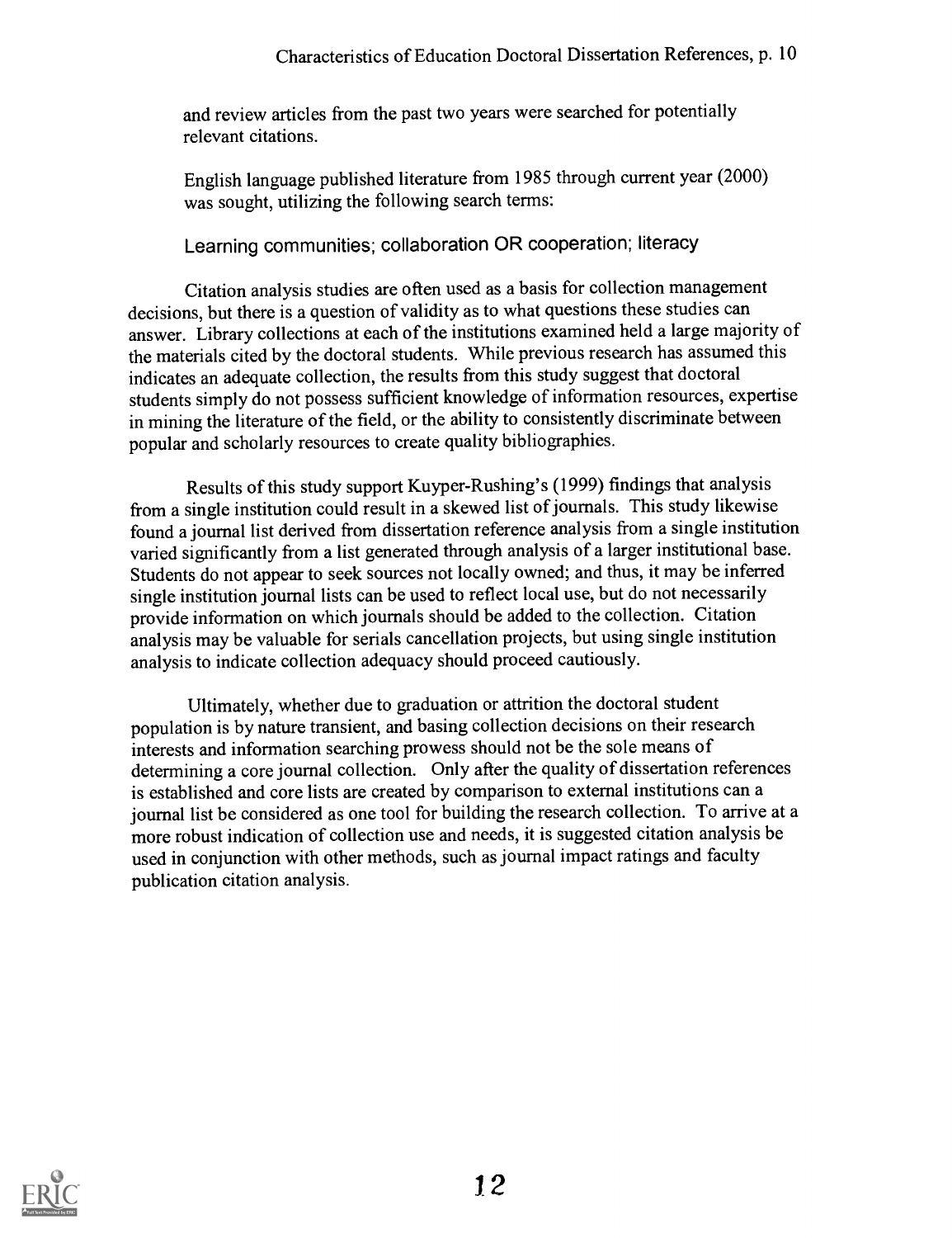and review articles from the past two years were searched for potentially relevant citations.

English language published literature from 1985 through current year (2000) was sought, utilizing the following search terms:

Learning communities; collaboration OR cooperation; literacy

Citation analysis studies are often used as a basis for collection management decisions, but there is a question of validity as to what questions these studies can answer. Library collections at each of the institutions examined held a large majority of the materials cited by the doctoral students. While previous research has assumed this indicates an adequate collection, the results from this study suggest that doctoral students simply do not possess sufficient knowledge of information resources, expertise in mining the literature of the field, or the ability to consistently discriminate between popular and scholarly resources to create quality bibliographies.

Results of this study support Kuyper-Rushing's (1999) findings that analysis from a single institution could result in a skewed list of journals. This study likewise found a journal list derived from dissertation reference analysis from a single institution varied significantly from a list generated through analysis of a larger institutional base. Students do not appear to seek sources not locally owned; and thus, it may be inferred single institution journal lists can be used to reflect local use, but do not necessarily provide information on which journals should be added to the collection. Citation analysis may be valuable for serials cancellation projects, but using single institution analysis to indicate collection adequacy should proceed cautiously.

Ultimately, whether due to graduation or attrition the doctoral student population is by nature transient, and basing collection decisions on their research interests and information searching prowess should not be the sole means of determining a core journal collection. Only after the quality of dissertation references is established and core lists are created by comparison to external institutions can a journal list be considered as one tool for building the research collection. To arrive at a more robust indication of collection use and needs, it is suggested citation analysis be used in conjunction with other methods, such as journal impact ratings and faculty publication citation analysis.

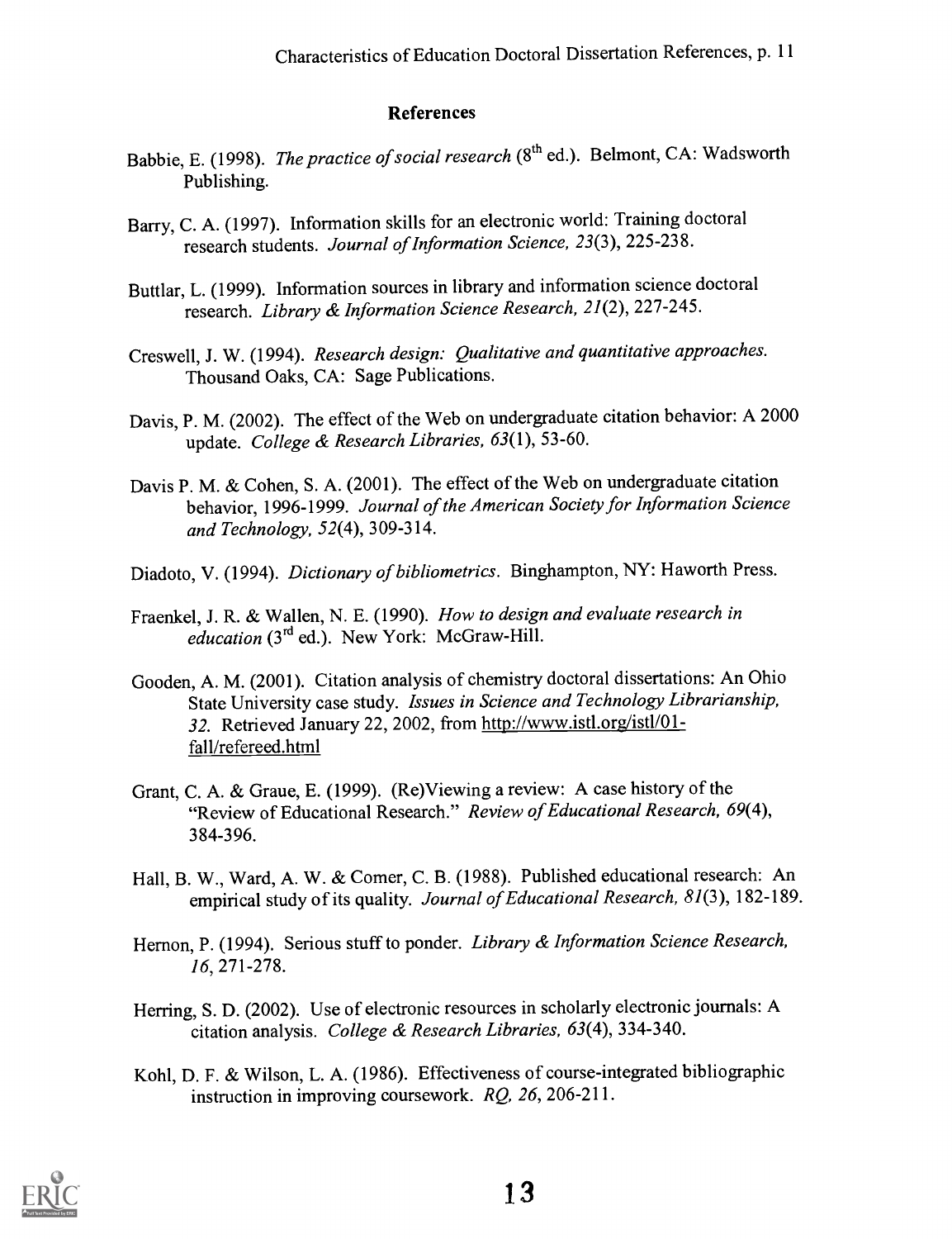### References

- Babbie, E. (1998). The practice of social research (8<sup>th</sup> ed.). Belmont, CA: Wadsworth Publishing.
- Barry, C. A. (1997). Information skills for an electronic world: Training doctoral research students. Journal of Information Science, 23(3), 225-238.
- Buttlar, L. (1999). Information sources in library and information science doctoral research. Library & Information Science Research, 21(2), 227-245.
- Creswell, J. W. (1994). Research design: Qualitative and quantitative approaches. Thousand Oaks, CA: Sage Publications.
- Davis, P. M. (2002). The effect of the Web on undergraduate citation behavior: A 2000 update. College & Research Libraries, 63(1), 53-60.
- Davis P. M. & Cohen, S. A. (2001). The effect of the Web on undergraduate citation behavior, 1996-1999. Journal of the American Society for Information Science and Technology, 52(4), 309-314.
- Diadoto, V. (1994). Dictionary of bibliometrics. Binghampton, NY: Haworth Press.
- Fraenkel, J. R. & Wallen, N. E. (1990). How to design and evaluate research in education (3<sup>rd</sup> ed.). New York: McGraw-Hill.
- Gooden, A. M. (2001). Citation analysis of chemistry doctoral dissertations: An Ohio State University case study. Issues in Science and Technology Librarianship, 32. Retrieved January 22, 2002, from http://www.istl.org/ist1/01 fall/refereed.html
- Grant, C. A. & Graue, E. (1999). (Re)Viewing a review: A case history of the "Review of Educational Research." Review of Educational Research, 69(4), 384-396.
- Hall, B. W., Ward, A. W. & Comer, C. B. (1988). Published educational research: An empirical study of its quality. Journal of Educational Research, 81(3), 182-189.
- Hernon, P. (1994). Serious stuff to ponder. Library & Information Science Research, 16, 271-278.
- Herring, S. D. (2002). Use of electronic resources in scholarly electronic journals: A citation analysis. College & Research Libraries,  $63(4)$ , 334-340.
- Kohl, D. F. & Wilson, L. A. (1986). Effectiveness of course-integrated bibliographic instruction in improving coursework. RO, 26, 206-211.

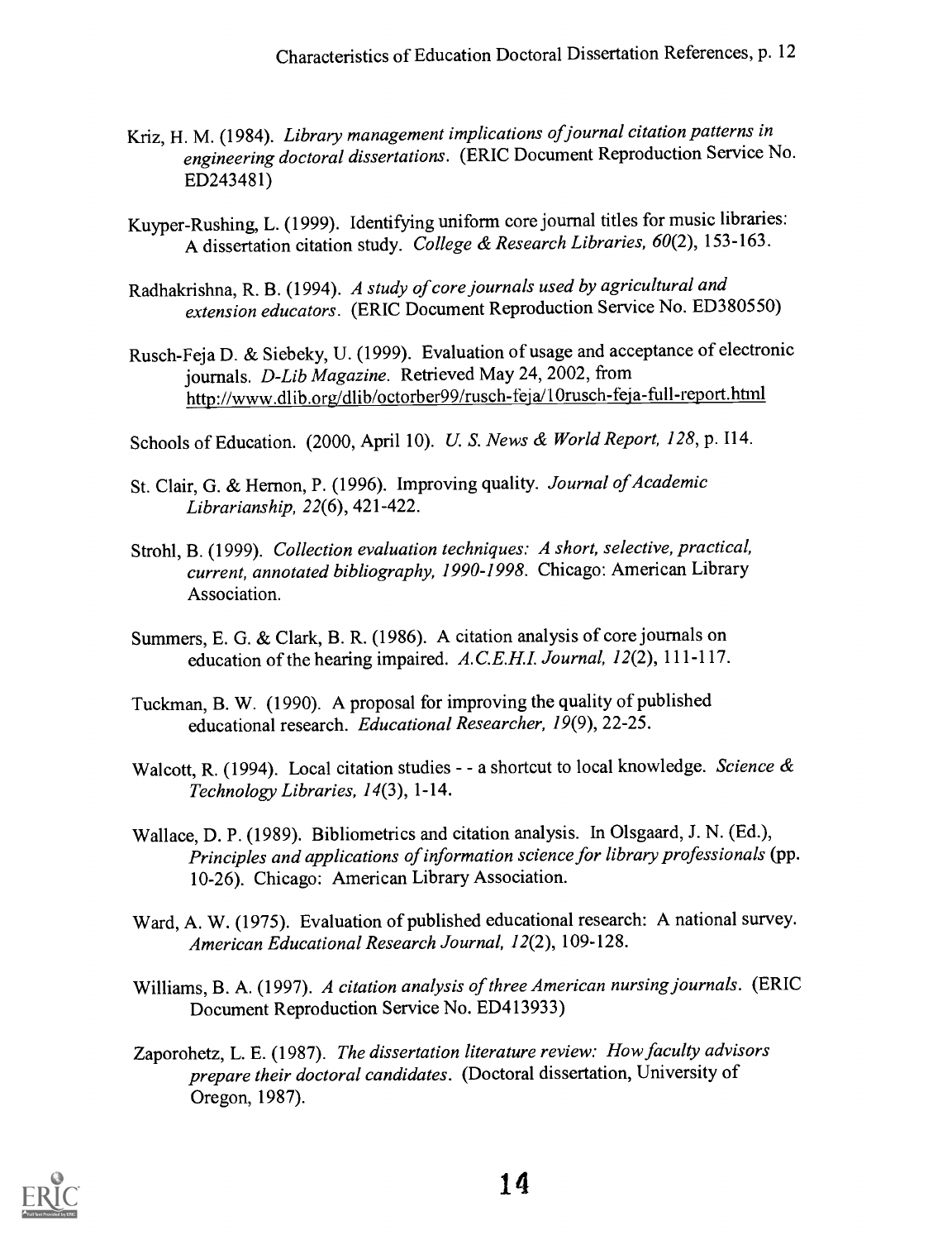- Kriz, H. M. (1984). Library management implications of journal citation patterns in engineering doctoral dissertations. (ERIC Document Reproduction Service No. ED243481)
- Kuyper-Rushing, L. (1999). Identifying uniform core journal titles for music libraries: A dissertation citation study. College & Research Libraries, 60(2), 153-163.
- Radhakrishna, R. B. (1994). A study of core journals used by agricultural and extension educators. (ERIC Document Reproduction Service No. ED380550)
- Rusch-Feja D. & Siebeky, U. (1999). Evaluation of usage and acceptance of electronic journals. D-Lib Magazine. Retrieved May 24, 2002, from http://www.dlib.org/dlib/octorber99/rusch-feja/10rusch-feja-full-report.html
- Schools of Education. (2000, April 10). U. S. News & World Report, 128, p. 114.
- St. Clair, G. & Hemon, P. (1996). Improving quality. Journal of Academic Librarianship, 22(6), 421-422.
- Strohl, B. (1999). Collection evaluation techniques: A short, selective, practical, current, annotated bibliography, 1990-1998. Chicago: American Library Association.
- Summers, E. G. & Clark, B. R. (1986). A citation analysis of core journals on education of the hearing impaired. A.C.E.H.I. Journal, 12(2), 111-117.
- Tuckman, B. W. (1990). A proposal for improving the quality of published educational research. Educational Researcher, 19(9), 22-25.
- Walcott, R. (1994). Local citation studies - a shortcut to local knowledge. Science  $\alpha$ Technology Libraries, 14(3), 1-14.
- Wallace, D. P. (1989). Bibliometrics and citation analysis. In Olsgaard, J. N. (Ed.), Principles and applications of information science for library professionals (pp. 10-26). Chicago: American Library Association.
- Ward, A. W. (1975). Evaluation of published educational research: A national survey. American Educational Research Journal, 12(2), 109-128.
- Williams, B. A. (1997). A citation analysis of three American nursing journals. (ERIC Document Reproduction Service No. ED413933)
- Zaporohetz, L. E. (1987). The dissertation literature review: How faculty advisors prepare their doctoral candidates. (Doctoral dissertation, University of Oregon, 1987).

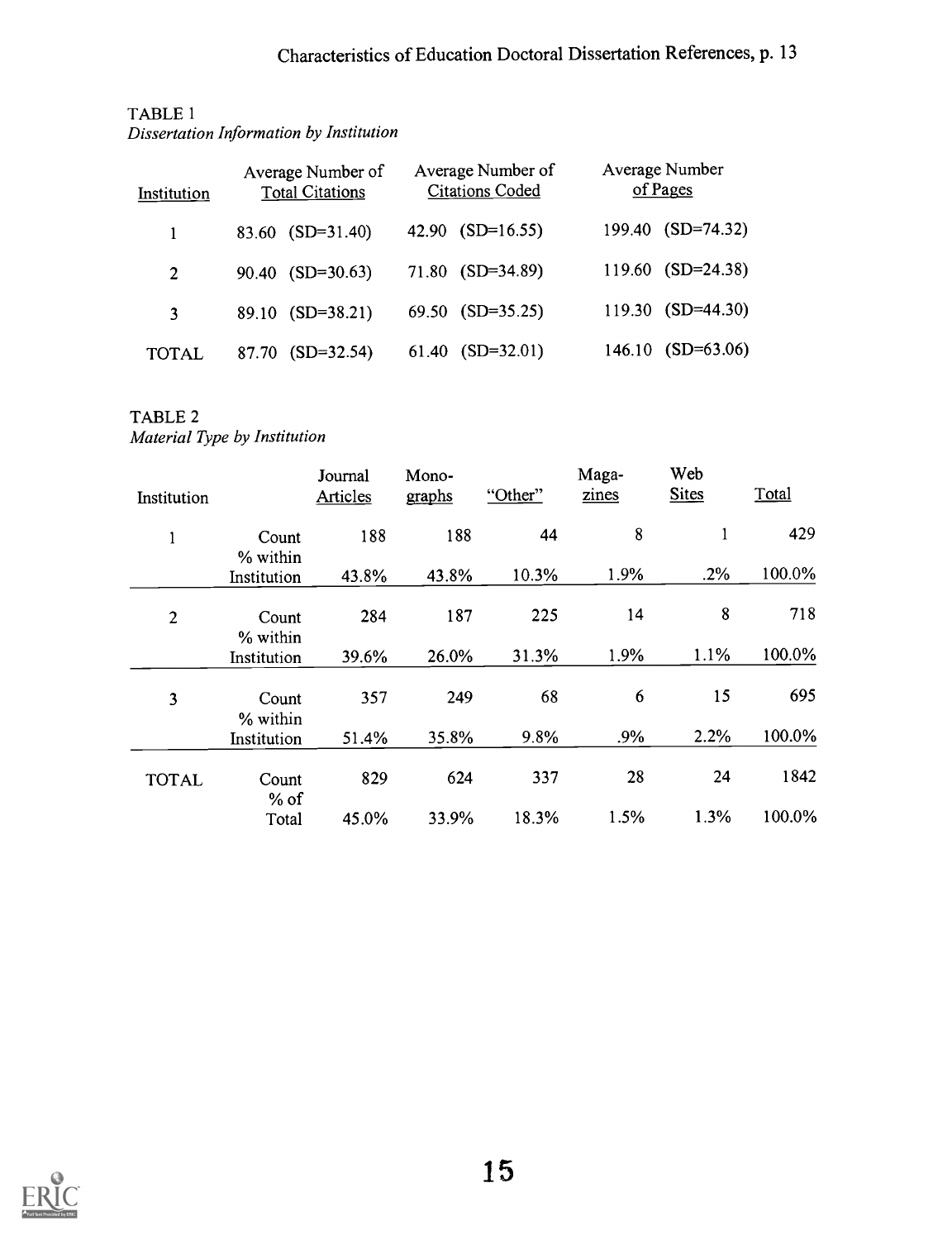| Institution | Average Number of<br><b>Total Citations</b> | Average Number of<br><b>Citations Coded</b> | Average Number<br>of Pages |
|-------------|---------------------------------------------|---------------------------------------------|----------------------------|
|             | $83.60$ $(SD=31.40)$                        | 42.90 $(SD=16.55)$                          | 199.40 (SD=74.32)          |
| 2           | $90.40$ (SD=30.63)                          | 71.80 (SD=34.89)                            | $119.60$ (SD=24.38)        |
| 3           | 89.10 (SD=38.21)                            | 69.50 (SD=35.25)                            | 119.30 (SD=44.30)          |
| TOTAL       | $(SD=32.54)$<br>87.70                       | $(SD=32.01)$<br>61.40                       | $(SD=63.06)$<br>146.10     |

## TABLE 1 Dissertation Information by Institution

# TABLE 2

Material Type by Institution

| Institution    |                   | Journal<br><b>Articles</b> | Mono-<br>graphs | "Other" | Maga-<br>zines | Web<br><b>Sites</b> | Total  |
|----------------|-------------------|----------------------------|-----------------|---------|----------------|---------------------|--------|
| $\mathbf{I}$   | Count<br>% within | 188                        | 188             | 44      | 8              | 1                   | 429    |
|                | Institution       | 43.8%                      | 43.8%           | 10.3%   | 1.9%           | .2%                 | 100.0% |
| $\overline{2}$ | Count<br>% within | 284                        | 187             | 225     | 14             | 8                   | 718    |
|                | Institution       | 39.6%                      | 26.0%           | 31.3%   | 1.9%           | 1.1%                | 100.0% |
| 3              | Count<br>% within | 357                        | 249             | 68      | 6              | 15                  | 695    |
|                | Institution       | 51.4%                      | 35.8%           | 9.8%    | .9%            | 2.2%                | 100.0% |
| <b>TOTAL</b>   | Count<br>$%$ of   | 829                        | 624             | 337     | 28             | 24                  | 1842   |
|                | Total             | 45.0%                      | 33.9%           | 18.3%   | 1.5%           | 1.3%                | 100.0% |

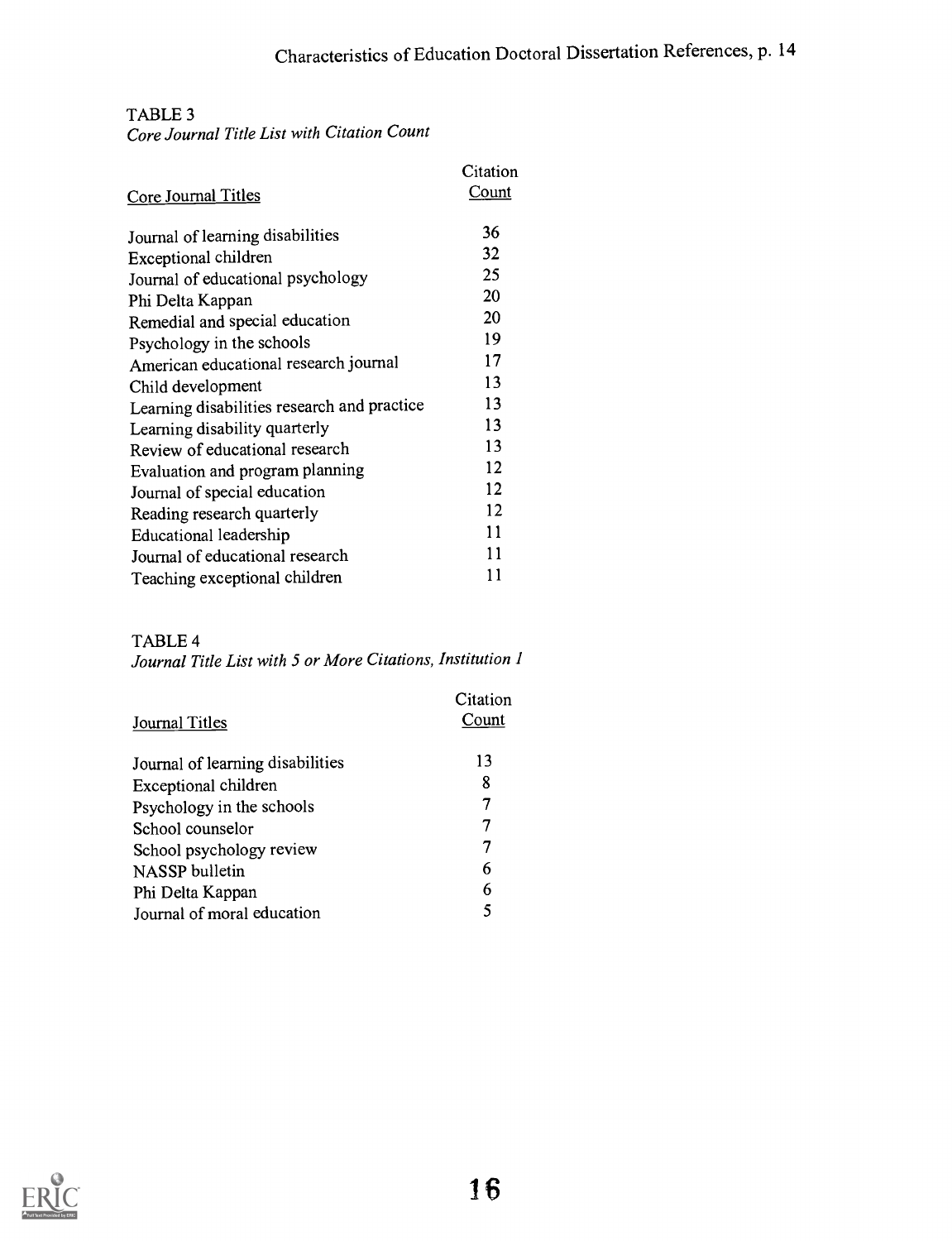#### TABLE 3 Core Journal Title List with Citation Count

|                                             | Citation     |  |
|---------------------------------------------|--------------|--|
| Core Journal Titles                         | <b>Count</b> |  |
| Journal of learning disabilities            | 36           |  |
| Exceptional children                        | 32           |  |
| Journal of educational psychology           | 25           |  |
| Phi Delta Kappan                            | 20           |  |
| Remedial and special education              | 20           |  |
| Psychology in the schools                   | 19           |  |
| American educational research journal       | 17           |  |
| Child development                           | 13           |  |
| Learning disabilities research and practice | 13           |  |
| Learning disability quarterly               | 13           |  |
| Review of educational research              | 13           |  |
| Evaluation and program planning             | 12           |  |
| Journal of special education                | 12           |  |
| Reading research quarterly                  | 12           |  |
| Educational leadership                      | 11           |  |
| Journal of educational research             | 11           |  |
| Teaching exceptional children               | 11           |  |

# TABLE 4

Journal Title List with 5 or More Citations, Institution 1

|                                  | Citation |  |
|----------------------------------|----------|--|
| Journal Titles                   | Count    |  |
| Journal of learning disabilities | 13       |  |
| Exceptional children             | 8        |  |
| Psychology in the schools        | 7        |  |
| School counselor                 | 7        |  |
| School psychology review         | 7        |  |
| NASSP bulletin                   | 6        |  |
| Phi Delta Kappan                 | 6        |  |
| Journal of moral education       | 5        |  |

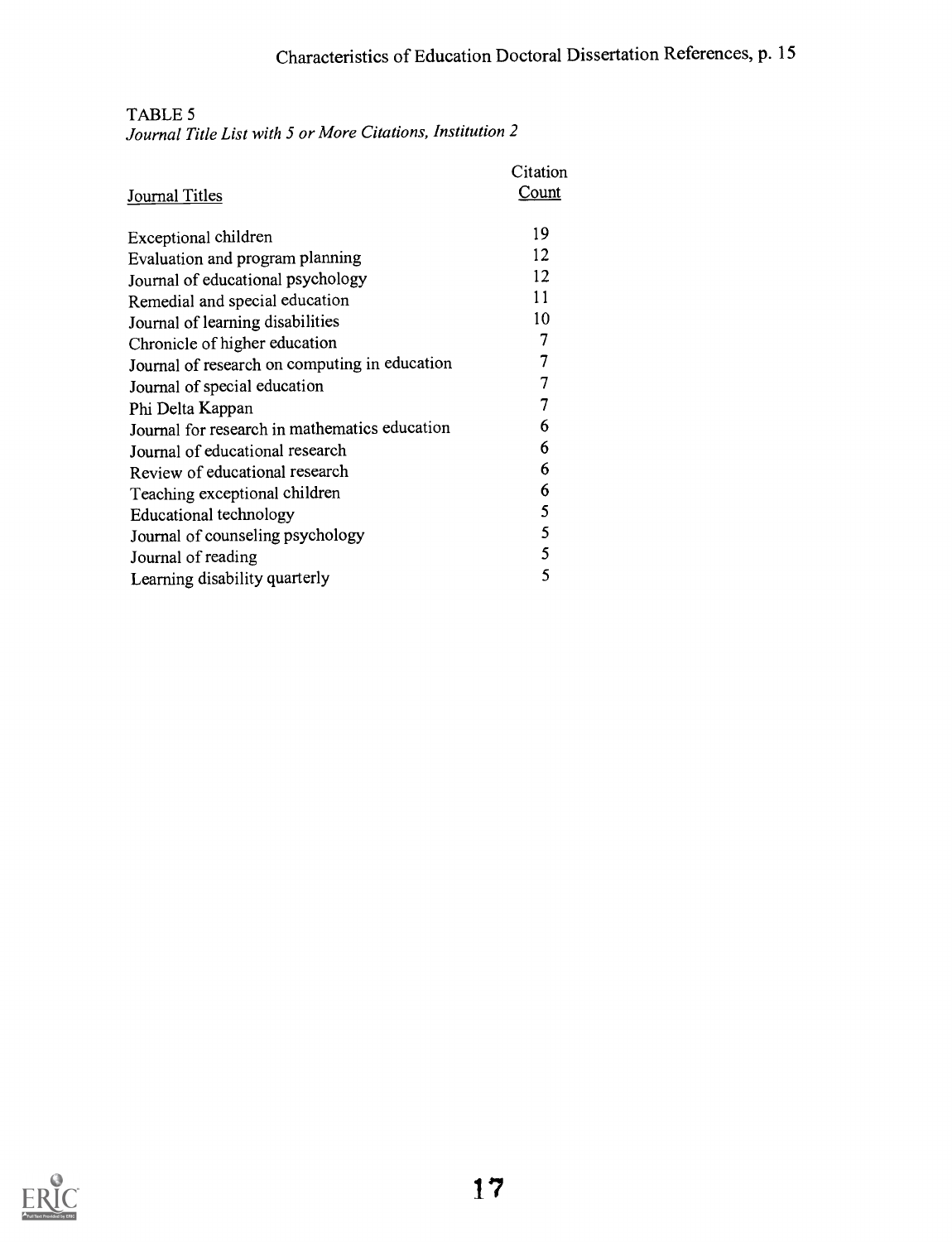# TABLE 5

Journal Title List with 5 or More Citations, Institution 2

|                                               | Citation     |  |
|-----------------------------------------------|--------------|--|
| Journal Titles                                | <u>Count</u> |  |
| Exceptional children                          | 19           |  |
| Evaluation and program planning               | 12           |  |
| Journal of educational psychology             | 12           |  |
| Remedial and special education                | 11           |  |
| Journal of learning disabilities              | 10           |  |
| Chronicle of higher education                 | 7            |  |
| Journal of research on computing in education | 7            |  |
| Journal of special education                  | 7            |  |
| Phi Delta Kappan                              | 7            |  |
| Journal for research in mathematics education | 6            |  |
| Journal of educational research               | 6            |  |
| Review of educational research                | 6            |  |
| Teaching exceptional children                 | 6            |  |
| Educational technology                        | 5            |  |
| Journal of counseling psychology              | 5            |  |
| Journal of reading                            | 5            |  |
| Learning disability quarterly                 | 5            |  |

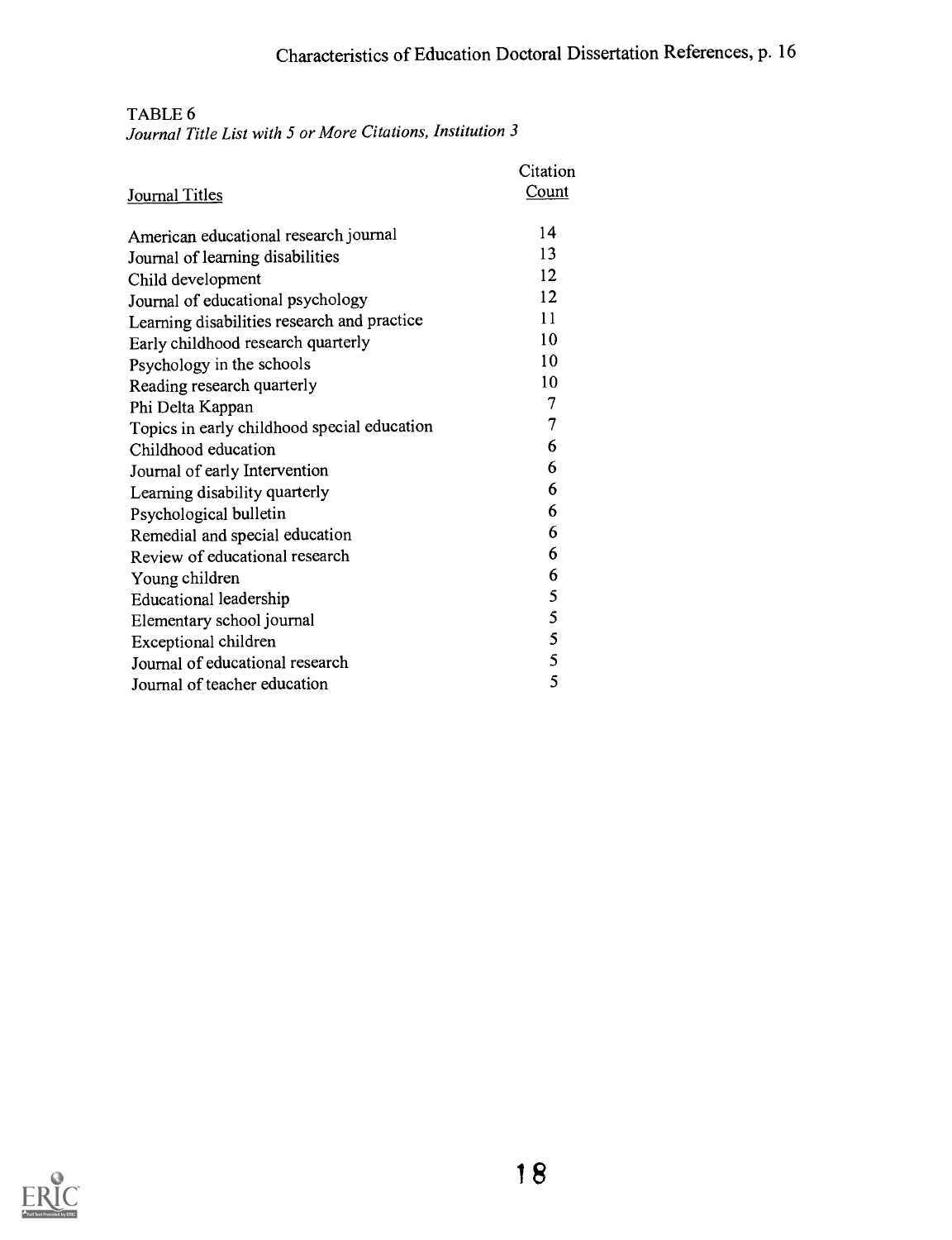TABLE 6

Journal Title List with 5 or More Citations, Institution 3

|                                             | Citation     |
|---------------------------------------------|--------------|
| Journal Titles                              | <b>Count</b> |
| American educational research journal       | 14           |
| Journal of learning disabilities            | 13           |
| Child development                           | 12           |
| Journal of educational psychology           | 12           |
| Learning disabilities research and practice | 11           |
| Early childhood research quarterly          | 10           |
| Psychology in the schools                   | 10           |
| Reading research quarterly                  | 10           |
| Phi Delta Kappan                            | 7            |
| Topics in early childhood special education | 7            |
| Childhood education                         | 6            |
| Journal of early Intervention               | 6            |
| Learning disability quarterly               | 6            |
| Psychological bulletin                      | 6            |
| Remedial and special education              | 6            |
| Review of educational research              | 6            |
| Young children                              | 6            |
| Educational leadership                      | 5            |
| Elementary school journal                   | 5            |
| Exceptional children                        | 5            |
| Journal of educational research             | 5            |
| Journal of teacher education                | 5            |

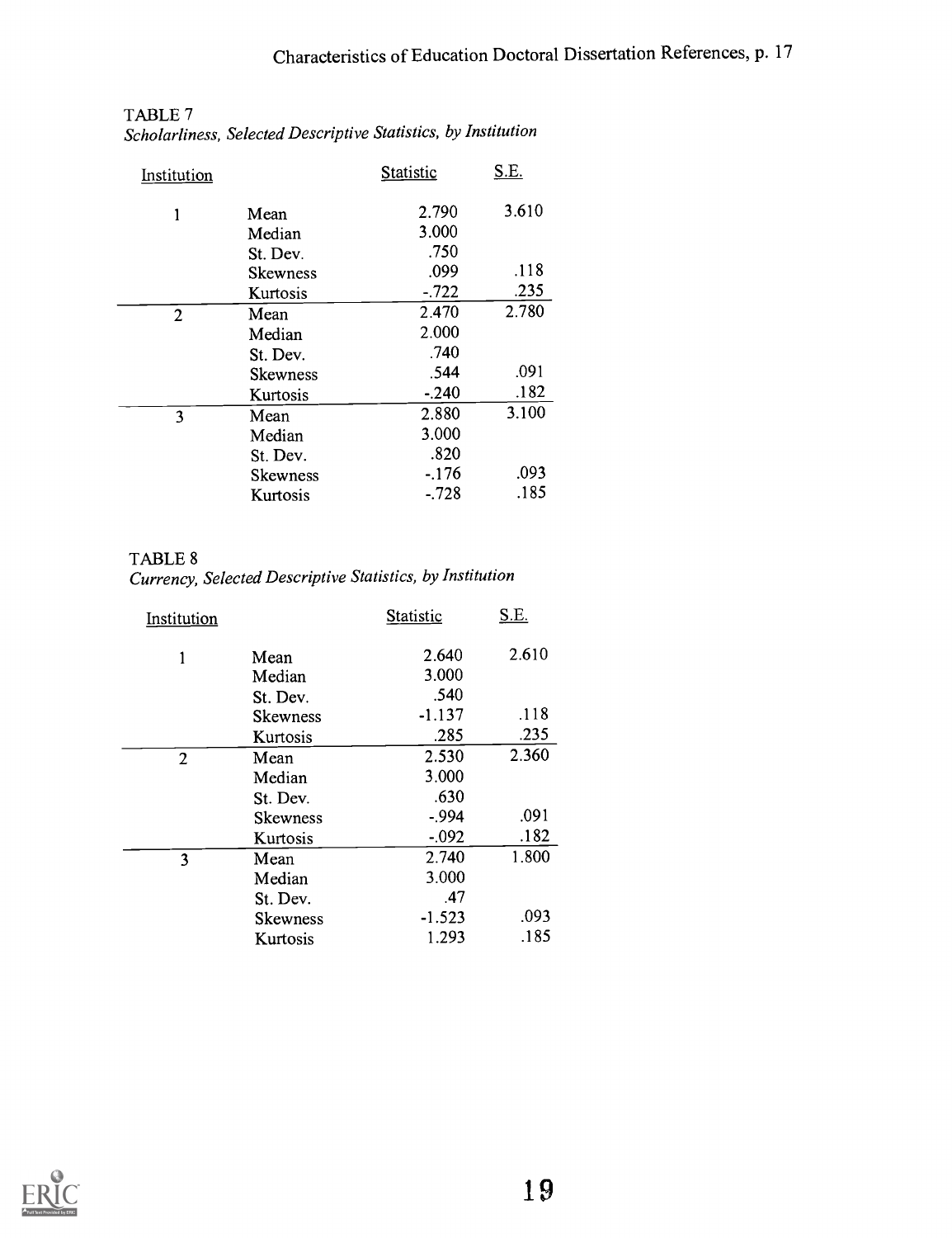| Institution    |                 | Statistic | <u>S.E.</u> |  |
|----------------|-----------------|-----------|-------------|--|
| 1              | Mean            | 2.790     | 3.610       |  |
|                | Median          | 3.000     |             |  |
|                | St. Dev.        | .750      |             |  |
|                | <b>Skewness</b> | .099      | .118        |  |
|                | Kurtosis        | $-722$    | .235        |  |
| $\overline{2}$ | Mean            | 2.470     | 2.780       |  |
|                | Median          | 2.000     |             |  |
|                | St. Dev.        | .740      |             |  |
|                | Skewness        | .544      | .091        |  |
|                | Kurtosis        | $-0.240$  | .182        |  |
| 3              | Mean            | 2.880     | 3.100       |  |
|                | Median          | 3.000     |             |  |
|                | St. Dev.        | .820      |             |  |
|                | <b>Skewness</b> | $-176$    | .093        |  |
|                | Kurtosis        | $-.728$   | .185        |  |
|                |                 |           |             |  |

# TABLE 7 Scholarliness, Selected Descriptive Statistics, by Institution

TABLE 8 Currency, Selected Descriptive Statistics, by Institution

| Institution    |                 | Statistic | <u>S.E.</u> |  |
|----------------|-----------------|-----------|-------------|--|
| 1              | Mean            | 2.640     | 2.610       |  |
|                | Median          | 3.000     |             |  |
|                | St. Dev.        | .540      |             |  |
|                | <b>Skewness</b> | $-1.137$  | .118        |  |
|                | Kurtosis        | .285      | .235        |  |
| $\overline{2}$ | Mean            | 2.530     | 2.360       |  |
|                | Median          | 3.000     |             |  |
|                | St. Dev.        | .630      |             |  |
|                | <b>Skewness</b> | $-.994$   | .091        |  |
|                | Kurtosis        | $-0.092$  | .182        |  |
| 3              | Mean            | 2.740     | 1.800       |  |
|                | Median          | 3.000     |             |  |
|                | St. Dev.        | .47       |             |  |
|                | <b>Skewness</b> | $-1.523$  | .093        |  |
|                | Kurtosis        | 1.293     | .185        |  |

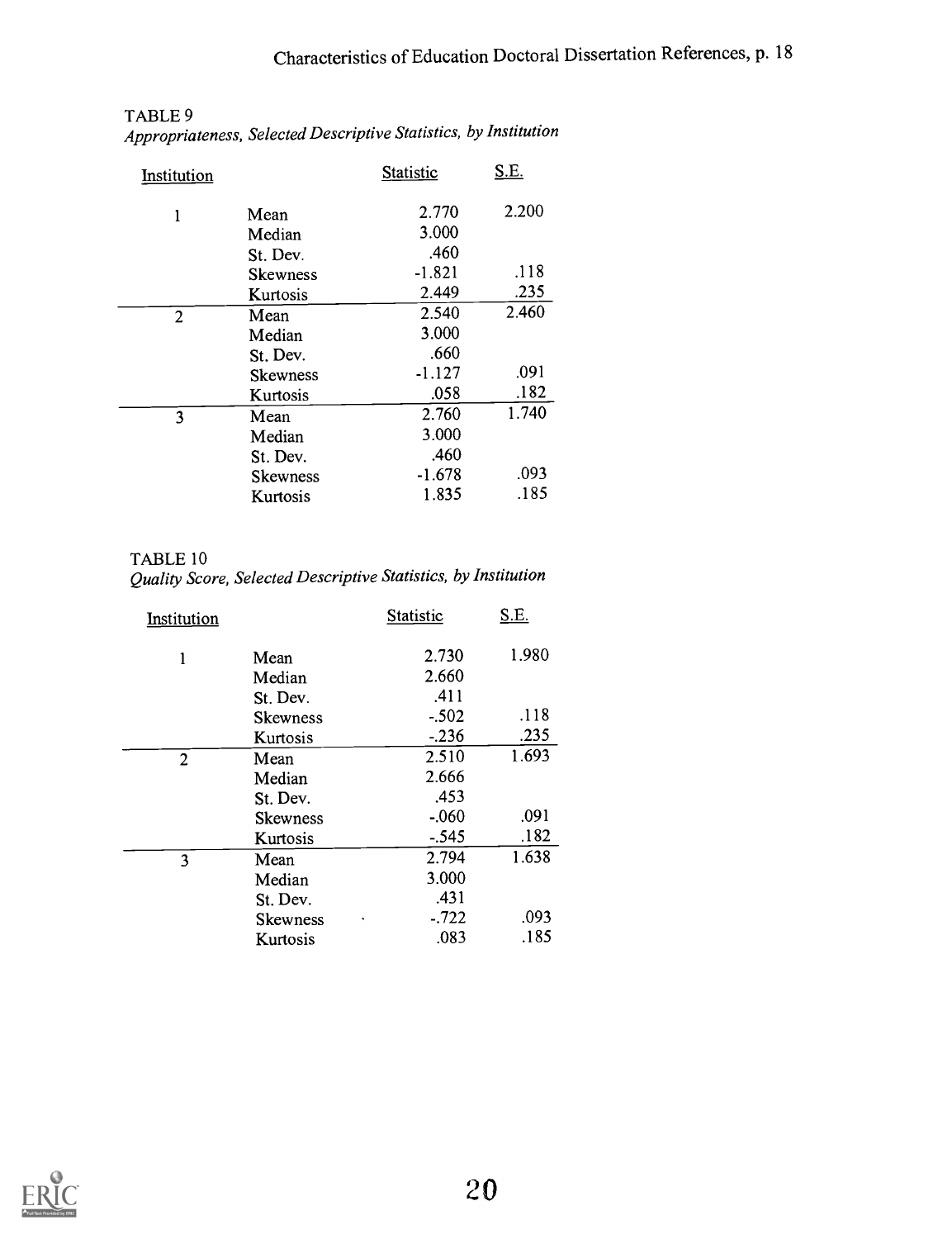| Institution |                 | Statistic | <u>S.E.</u> |  |
|-------------|-----------------|-----------|-------------|--|
| 1           | Mean            | 2.770     | 2.200       |  |
|             | Median          | 3.000     |             |  |
|             | St. Dev.        | .460      |             |  |
|             | <b>Skewness</b> | $-1.821$  | .118        |  |
|             | Kurtosis        | 2.449     | .235        |  |
| 2           | Mean            | 2.540     | 2.460       |  |
|             | Median          | 3.000     |             |  |
|             | St. Dev.        | .660      |             |  |
|             | <b>Skewness</b> | $-1.127$  | .091        |  |
|             | Kurtosis        | .058      | .182        |  |
| 3           | Mean            | 2.760     | 1.740       |  |
|             | Median          | 3.000     |             |  |
|             | St. Dev.        | .460      |             |  |
|             | Skewness        | $-1.678$  | .093        |  |
|             | Kurtosis        | 1.835     | .185        |  |

#### TABLE 9 Appropriateness, Selected Descriptive Statistics, by Institution

TABLE 10 Quality Score, Selected Descriptive Statistics, by Institution

| Institution |                 | Statistic | <u>S.E.</u> |  |
|-------------|-----------------|-----------|-------------|--|
| 1           | Mean            | 2.730     | 1.980       |  |
|             | Median          | 2.660     |             |  |
|             | St. Dev.        | .411      |             |  |
|             | <b>Skewness</b> | $-.502$   | .118        |  |
|             | Kurtosis        | $-236$    | .235        |  |
| 2           | Mean            | 2.510     | 1.693       |  |
|             | Median          | 2.666     |             |  |
|             | St. Dev.        | .453      |             |  |
|             | <b>Skewness</b> | $-0.060$  | .091        |  |
|             | Kurtosis        | $-.545$   | .182        |  |
| 3           | Mean            | 2.794     | 1.638       |  |
|             | Median          | 3.000     |             |  |
|             | St. Dev.        | .431      |             |  |
|             | <b>Skewness</b> | $-0.722$  | .093        |  |
|             | Kurtosis        | .083      | .185        |  |

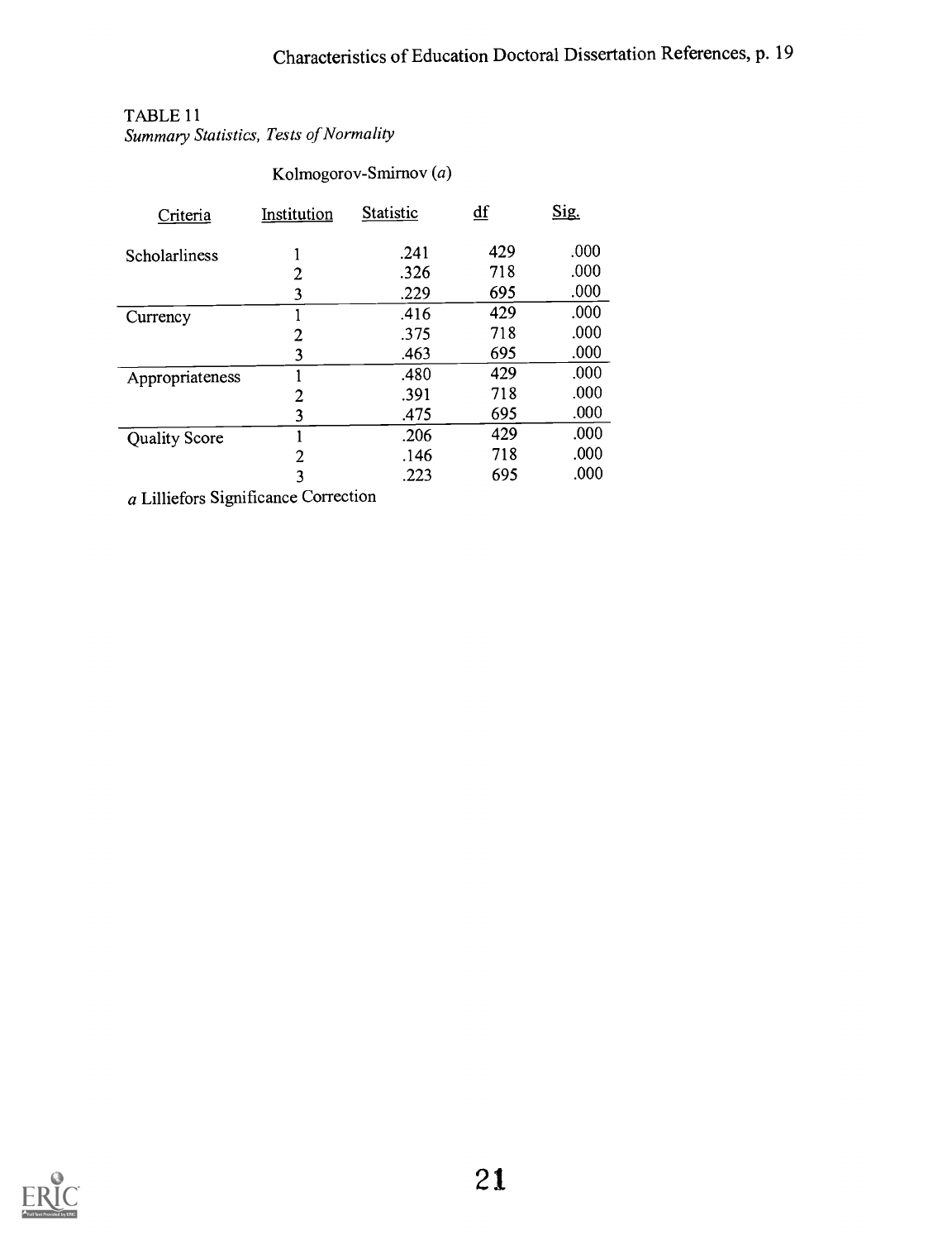# TABLE 11

Summary Statistics, Tests of Normality

| Criteria             | Institution    | Statistic | $\underline{\mathrm{df}}$ | Sig. |
|----------------------|----------------|-----------|---------------------------|------|
| Scholarliness        |                | .241      | 429                       | .000 |
|                      | 2              | .326      | 718                       | .000 |
|                      | 3              | .229      | 695                       | .000 |
| Currency             |                | .416      | 429                       | .000 |
|                      | 2              | .375      | 718                       | .000 |
|                      | 3              | .463      | 695                       | .000 |
| Appropriateness      |                | .480      | 429                       | .000 |
|                      | 2              | .391      | 718                       | .000 |
|                      | 3              | .475      | 695                       | .000 |
| <b>Quality Score</b> |                | .206      | 429                       | .000 |
|                      | $\overline{2}$ | .146      | 718                       | .000 |
|                      | 3              | .223      | 695                       | .000 |
|                      |                |           |                           |      |

Kolmogorov-Smirnov (a)

a Lilliefors Significance Correction

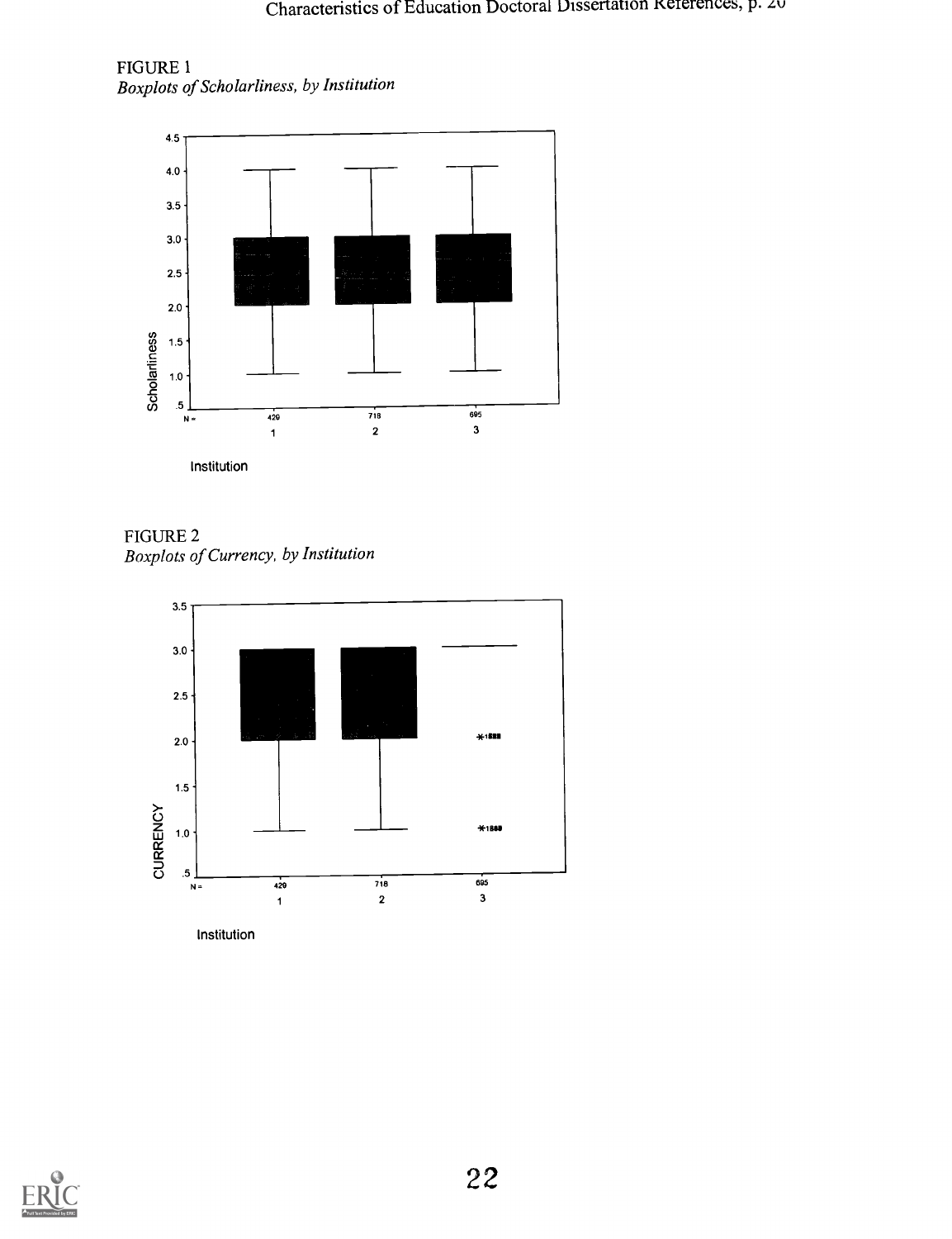FIGURE 1 Boxplots of Scholarliness, by Institution



FIGURE 2 Boxplots of Currency, by Institution



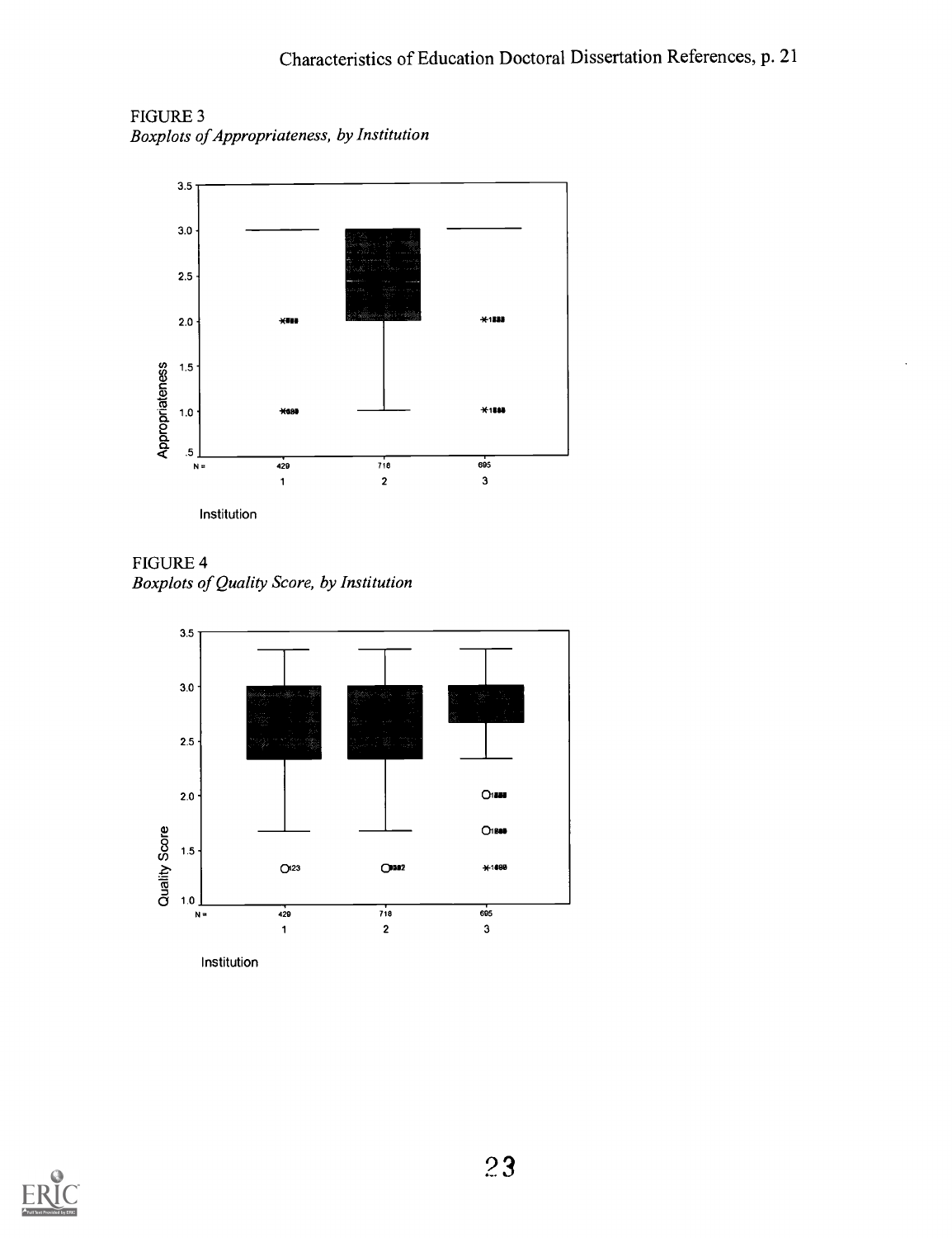FIGURE 3 Boxplots of Appropriateness, by Institution



FIGURE 4 Boxplots of Quality Score, by Institution



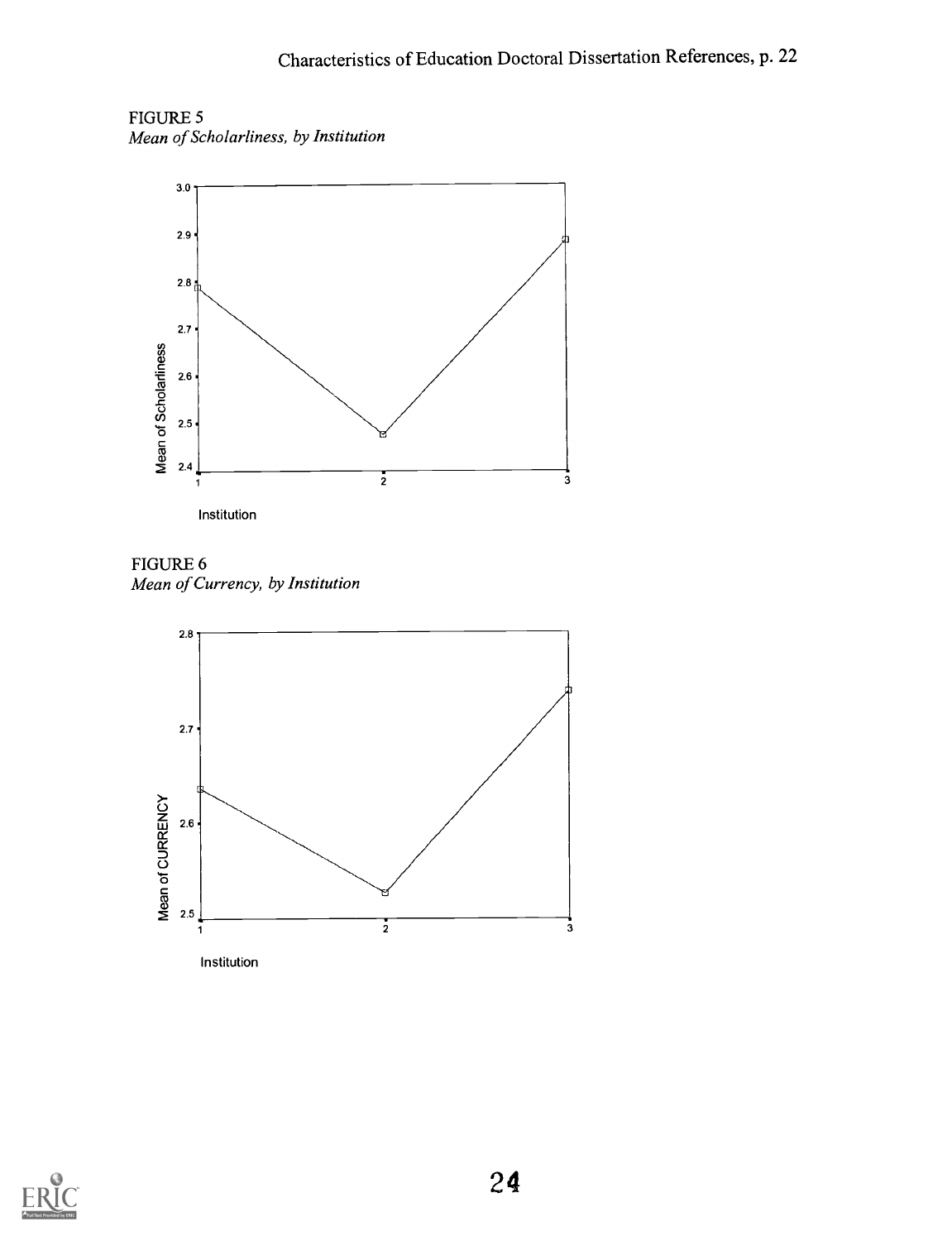FIGURE 5 Mean of Scholarliness, by Institution



FIGURE 6 Mean of Currency, by Institution



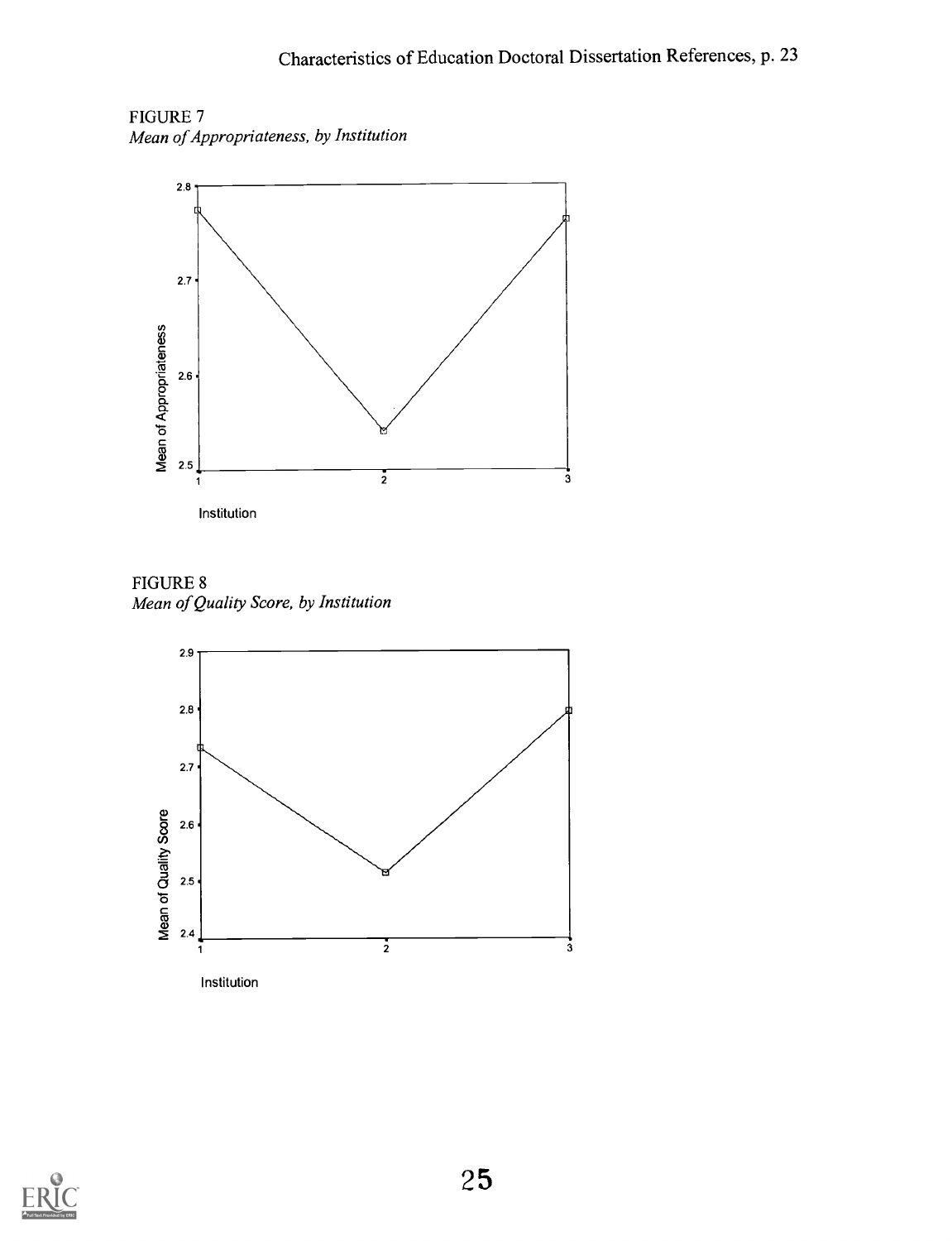FIGURE 7 Mean of Appropriateness, by Institution



FIGURE 8 Mean of Quality Score, by Institution



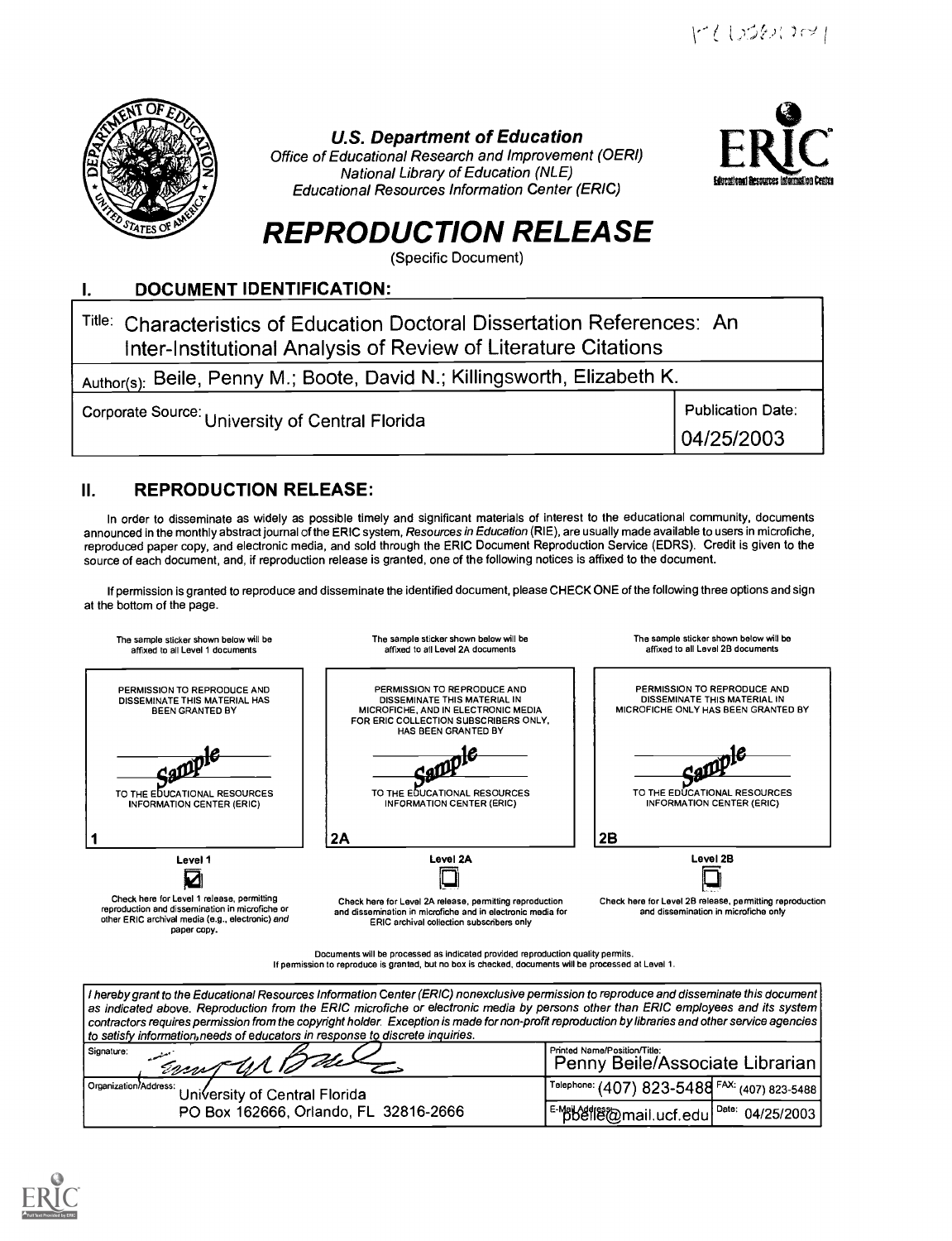r/10560001



U.S. Department of Education

Office of Educational Research and Improvement (OERI) National Library of Education (NLE) Educational Resources Information Center (ERIC)



# REPRODUCTION RELEASE

(Specific Document)

#### DOCUMENT IDENTIFICATION: Ι.

| Title: Characteristics of Education Doctoral Dissertation References: An<br>Inter-Institutional Analysis of Review of Literature Citations |                          |  |  |
|--------------------------------------------------------------------------------------------------------------------------------------------|--------------------------|--|--|
| Author(s): Beile, Penny M.; Boote, David N.; Killingsworth, Elizabeth K.                                                                   |                          |  |  |
| Corporate Source: University of Central Florida                                                                                            | <b>Publication Date:</b> |  |  |
|                                                                                                                                            | 04/25/2003               |  |  |

# II. REPRODUCTION RELEASE:

In order to disseminate as widely as possible timely and significant materials of interest to the educational community, documents announced in the monthly abstract joumal of the ERIC system, Resources in Education (RIE), are usually made available to users in microfiche, reproduced paper copy, and electronic media, and sold through the ERIC Document Reproduction Service (EDRS). Credit is given to the source of each document, and, if reproduction release is granted, one of the following notices is affixed to the document.

If permission is granted to reproduce and disseminate the identified document, please CHECK ONE of the following three options and sign at the bottom of the page.

| The sample sticker shown below will be<br>affixed to all Level 1 documents                                                                                       | The sample sticker shown below will be<br>affixed to all Level 2A documents                                                                                          | The sample sticker shown below will be<br>affixed to all Level 2B documents                        |  |
|------------------------------------------------------------------------------------------------------------------------------------------------------------------|----------------------------------------------------------------------------------------------------------------------------------------------------------------------|----------------------------------------------------------------------------------------------------|--|
| PERMISSION TO REPRODUCE AND<br>DISSEMINATE THIS MATERIAL HAS<br><b>BEEN GRANTED BY</b>                                                                           | PERMISSION TO REPRODUCE AND<br>DISSEMINATE THIS MATERIAL IN<br>MICROFICHE, AND IN ELECTRONIC MEDIA<br>FOR ERIC COLLECTION SUBSCRIBERS ONLY,<br>HAS BEEN GRANTED BY   | PERMISSION TO REPRODUCE AND<br>DISSEMINATE THIS MATERIAL IN<br>MICROFICHE ONLY HAS BEEN GRANTED BY |  |
| TO THE EDUCATIONAL RESOURCES<br><b>INFORMATION CENTER (ERIC)</b>                                                                                                 | TO THE EDUCATIONAL RESOURCES<br><b>INFORMATION CENTER (ERIC)</b>                                                                                                     | TO THE EDUCATIONAL RESOURCES<br><b>INFORMATION CENTER (ERIC)</b>                                   |  |
|                                                                                                                                                                  | 2A                                                                                                                                                                   | 2B                                                                                                 |  |
| Level 1                                                                                                                                                          | Level 2A                                                                                                                                                             | Level 2B                                                                                           |  |
| Check here for Level 1 release, permitting<br>reproduction and dissemination in microfiche or<br>other ERIC archival media (e.g., electronic) and<br>paper copy. | Check here for Level 2A release, permitting reproduction<br>and dissemination in microfiche and in electronic media for<br>ERIC archival collection subscribers only | Check here for Level 2B release, permitting reproduction<br>and dissemination in microfiche only   |  |

Documents will be processed as indicated provided reproduction quality permits. If permission to reproduce is granted, but no box is checked, documents will be processed at Level 1.

| I hereby grant to the Educational Resources Information Center (ERIC) nonexclusive permission to reproduce and disseminate this document<br>  as indicated above. Reproduction from the ERIC microfiche or electronic media by persons other than ERIC employees and its system<br>$\mid$ contractors requires permission from the copyright holder. Exception is made for non-profit reproduction by libraries and other service agencies $\mid$<br>to satisfy information, needs of educators in response to discrete inquiries. |                                                                 |  |  |  |
|------------------------------------------------------------------------------------------------------------------------------------------------------------------------------------------------------------------------------------------------------------------------------------------------------------------------------------------------------------------------------------------------------------------------------------------------------------------------------------------------------------------------------------|-----------------------------------------------------------------|--|--|--|
| Signature:<br>Empt UN 10 dela                                                                                                                                                                                                                                                                                                                                                                                                                                                                                                      | Printed Name/Position/Title:<br>Penny Beile/Associate Librarian |  |  |  |
| Organization/Address:<br>University of Central Florida                                                                                                                                                                                                                                                                                                                                                                                                                                                                             | Telephone: (407) 823-5488 FAX: (407) 823-5488                   |  |  |  |
| PO Box 162666, Orlando, FL 32816-2666                                                                                                                                                                                                                                                                                                                                                                                                                                                                                              | F-Makefle@mail.ucf.edu <sup>Date:</sup> 04/25/2003              |  |  |  |